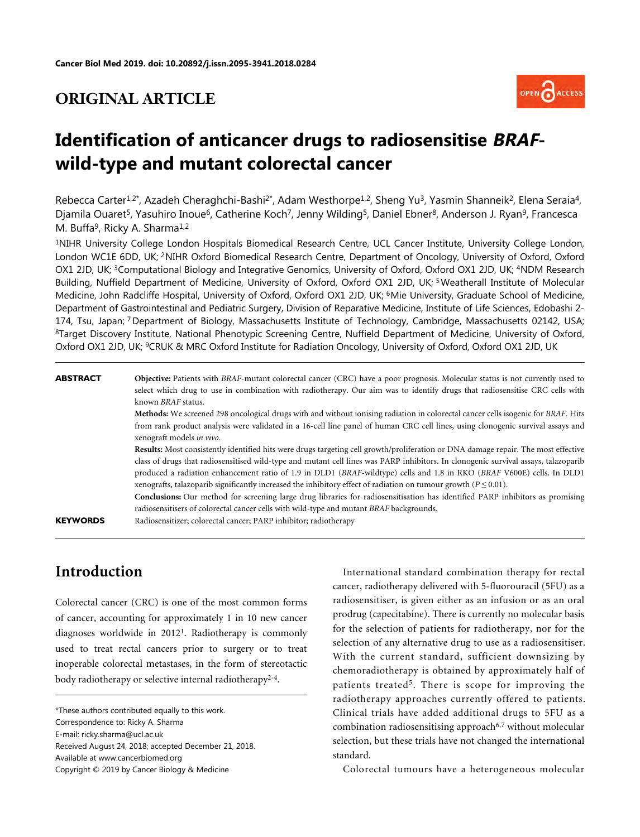# **ORIGINAL ARTICLE**



# **Identification of anticancer drugs to radiosensitise BRAFwild-type and mutant colorectal cancer**

Rebecca Carter<sup>1,2\*</sup>, Azadeh Cheraghchi-Bashi<sup>2\*</sup>, Adam Westhorpe<sup>1,2</sup>, Sheng Yu<sup>3</sup>, Yasmin Shanneik<sup>2</sup>, Elena Seraia<sup>4</sup>, Diamila Ouaret<sup>5</sup>, Yasuhiro Inoue<sup>6</sup>, Catherine Koch<sup>7</sup>, Jenny Wilding<sup>5</sup>, Daniel Ebner<sup>8</sup>, Anderson J. Ryan<sup>9</sup>, Francesca M. Buffa<sup>9</sup>, Ricky A. Sharma<sup>1,2</sup>

<sup>1</sup>NIHR University College London Hospitals Biomedical Research Centre, UCL Cancer Institute, University College London, London WC1E 6DD, UK; <sup>2</sup>NIHR Oxford Biomedical Research Centre, Department of Oncology, University of Oxford, Oxford OX1 2JD, UK; <sup>3</sup>Computational Biology and Integrative Genomics, University of Oxford, Oxford OX1 2JD, UK; <sup>4</sup>NDM Research Building, Nuffield Department of Medicine, University of Oxford, Oxford OX1 2JD, UK;<sup>5</sup> Weatherall Institute of Molecular Medicine, John Radcliffe Hospital, University of Oxford, Oxford OX1 2JD, UK; 6Mie University, Graduate School of Medicine, Department of Gastrointestinal and Pediatric Surgery, Division of Reparative Medicine, Institute of Life Sciences, Edobashi 2- 174, Tsu, Japan; <sup>7</sup> Department of Biology, Massachusetts Institute of Technology, Cambridge, Massachusetts 02142, USA; <sup>8</sup>Target Discovery Institute, National Phenotypic Screening Centre, Nuffield Department of Medicine, University of Oxford, Oxford OX1 2JD, UK; 9CRUK & MRC Oxford Institute for Radiation Oncology, University of Oxford, Oxford OX1 2JD, UK

#### **ABSTRACT Objective:** Patients with *BRAF*-mutant colorectal cancer (CRC) have a poor prognosis. Molecular status is not currently used to select which drug to use in combination with radiotherapy. Our aim was to identify drugs that radiosensitise CRC cells with known *BRAF* status.

**Methods:** We screened 298 oncological drugs with and without ionising radiation in colorectal cancer cells isogenic for *BRAF*. Hits from rank product analysis were validated in a 16-cell line panel of human CRC cell lines, using clonogenic survival assays and xenograft models *in vivo*.

**Results:** Most consistently identified hits were drugs targeting cell growth/proliferation or DNA damage repair. The most effective class of drugs that radiosensitised wild-type and mutant cell lines was PARP inhibitors. In clonogenic survival assays, talazoparib produced a radiation enhancement ratio of 1.9 in DLD1 (*BRAF*-wildtype) cells and 1.8 in RKO (*BRAF* V600E) cells. In DLD1 xenografts, talazoparib significantly increased the inhibitory effect of radiation on tumour growth ( $P \le 0.01$ ).

**Conclusions:** Our method for screening large drug libraries for radiosensitisation has identified PARP inhibitors as promising radiosensitisers of colorectal cancer cells with wild-type and mutant *BRAF* backgrounds.

**KEYWORDS** Radiosensitizer; colorectal cancer; PARP inhibitor; radiotherapy

# **Introduction**

Colorectal cancer (CRC) is one of the most common forms of cancer, accounting for approximately 1 in 10 new cancer diagnoses worldwide in 2012[1](#page-10-0) . Radiotherapy is commonly used to treat rectal cancers prior to surgery or to treat inoperable colorectal metastases, in the form ofst[e](#page-10-1)[re](#page-10-2)otactic body radiotherapy or selective internal radiotherapy<sup>[2](#page-10-1)-[4](#page-10-2)</sup>.

Received August 24, 2018; accepted December 21, 2018.

Available at www.cancerbiomed.org

Copyright © 2019 by Cancer Biology & Medicine

International standard combination therapy for rectal cancer, radiotherapy delivered with 5-fluorouracil (5FU) as a radiosensitiser, is given either as an infusion or as an oral prodrug (capecitabine). There is currently no molecular basis for the selection of patients for radiotherapy, nor for the selection of any alternative drug to use as a radiosensitiser. With the current standard, sufficient downsizing by chemoradiotherapy is obtained by approximately half of patients treated<sup>[5](#page-10-3)</sup>. There is scope for improving the radiotherapy approaches currently offered to patients. Clinical trials have added additional drugs to 5FU as a combination radiosensitising approach<sup>[6,](#page-10-4)[7](#page-10-5)</sup> without molecular selection, but these trials have not changed the international standard.

Colorectal tumours have a heterogeneous molecular

<sup>\*</sup>These authors contributed equally to this work. Correspondence to: Ricky A. Sharma E-mail: ricky.sharma@ucl.ac.uk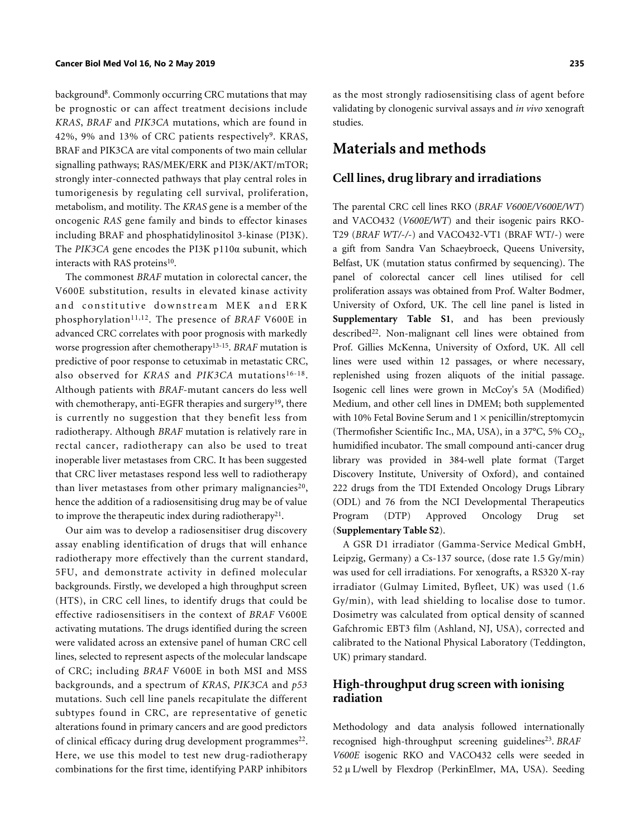background[8](#page-10-6) . Commonly occurring CRC mutations that may be prognostic or can affect treatment decisions include *KRAS*, *BRAF* and *PIK3CA* mutations, which are found in 42%, [9](#page-10-7)% and 13% of CRC patients respectively<sup>9</sup>. KRAS, BRAF and PIK3CA are vital components of two main cellular signalling pathways; RAS/MEK/ERK and PI3K/AKT/mTOR; strongly inter-connected pathways that play central roles in tumorigenesis by regulating cell survival, proliferation, metabolism, and motility. The *KRAS* gene is a member of the oncogenic *RAS* gene family and binds to effector kinases including BRAF and phosphatidylinositol 3-kinase (PI3K). The *PIK3CA* gene encodes the PI3K p110α subunit, which interacts with RAS proteins<sup>[10](#page-10-8)</sup>.

The commonest *BRAF* mutation in colorectal cancer, the V600E substitution, results in elevated kinase activity and constitutive downstream MEK and ERK phosphorylation[11](#page-10-9),[12](#page-10-10). The presence of *BRAF* V600E in advanced CRC correlates with poor prognosis with markedly worse progression after chemotherapy[13](#page-10-11)[-15](#page-11-0) . *BRAF* mutation is predictive of poor response to cetuximab in metastatic CRC, also observed for *KRAS* and *PIK3CA* mutations[16](#page-11-1)-[18](#page-11-2) . Although patients with *BRAF*-mutant cancers do less well with chemotherapy, anti-EGFR therapies and surgery<sup>[19](#page-11-3)</sup>, there is currently no suggestion that they benefit less from radiotherapy. Although *BRAF* mutation is relatively rare in rectal cancer, radiotherapy can also be used to treat inoperable liver metastases from CRC. It has been suggested that CRC liver metastases respond less well to radiotherapy than liver metastases from other primary malignancies<sup>[20](#page-11-4)</sup>, hence the addition of a radiosensitising drug may be of value to improve the therapeutic index during radiotherapy<sup>[21](#page-11-5)</sup>.

Our aim was to develop a radiosensitiser drug discovery assay enabling identification of drugs that will enhance radiotherapy more effectively than the current standard, 5FU, and demonstrate activity in defined molecular backgrounds. Firstly, we developed a high throughput screen (HTS), in CRC cell lines, to identify drugs that could be effective radiosensitisers in the context of *BRAF* V600E activating mutations. The drugs identified during the screen were validated across an extensive panel of human CRC cell lines, selected to represent aspects of the molecular landscape of CRC; including *BRAF* V600E in both MSI and MSS backgrounds, and a spectrum of *KRAS*, *PIK3CA* and *p53* mutations. Such cell line panels recapitulate the different subtypes found in CRC, are representative of genetic alterations found in primary cancers and are good predictors of clinical efficacy during drug development programmes<sup>[22](#page-11-6)</sup>. Here, we use this model to test new drug-radiotherapy combinations for the first time, identifying PARP inhibitors

as the most strongly radiosensitising class of agent before validating by clonogenic survival assays and *in vivo* xenograft studies.

# **Materials and methods**

#### **Cell lines, drug library and irradiations**

The parental CRC cell lines RKO (*BRAF V600E/V600E/WT*) and VACO432 (*V600E/WT*) and their isogenic pairs RKO-T29 (*BRAF WT/-/-*) and VACO432-VT1 (BRAF WT/-) were a gift from Sandra Van Schaeybroeck, Queens University, Belfast, UK (mutation status confirmed by sequencing). The panel of colorectal cancer cell lines utilised for cell proliferation assays was obtained from Prof. Walter Bodmer, University of Oxford, UK. The cell line panel is listed in **Supplementary Table S1**, and has been previously described<sup>[22](#page-11-6)</sup>. Non-malignant cell lines were obtained from Prof. Gillies McKenna, University of Oxford, UK. All cell lines were used within 12 passages, or where necessary, replenished using frozen aliquots of the initial passage. Isogenic cell lines were grown in McCoy's 5A (Modified) Medium, and other cell lines in DMEM; both supplemented with 10% Fetal Bovine Serum and  $1 \times$  penicillin/streptomycin (Thermofisher Scientific Inc., MA, USA), in a 37°C, 5%  $CO_2$ , humidified incubator. The small compound anti-cancer drug library was provided in 384-well plate format (Target Discovery Institute, University of Oxford), and contained 222 drugs from the TDI Extended Oncology Drugs Library (ODL) and 76 from the NCI Developmental Therapeutics Program (DTP) Approved Oncology Drug set (**Supplementary Table S2**).

A GSR D1 irradiator (Gamma-Service Medical GmbH, Leipzig, Germany) a Cs-137 source, (dose rate 1.5 Gy/min) was used for cell irradiations. For xenografts, a RS320 X-ray irradiator (Gulmay Limited, Byfleet, UK) was used (1.6 Gy/min), with lead shielding to localise dose to tumor. Dosimetry was calculated from optical density of scanned Gafchromic EBT3 film (Ashland, NJ, USA), corrected and calibrated to the National Physical Laboratory (Teddington, UK) primary standard.

## **High-throughput drug screen with ionising radiation**

Methodology and data analysis followed internationally recognised high-throughput screening guidelines<sup>[23](#page-11-7)</sup>. BRAF *V600E* isogenic RKO and VACO432 cells were seeded in 52 μ L/well by Flexdrop (PerkinElmer, MA, USA). Seeding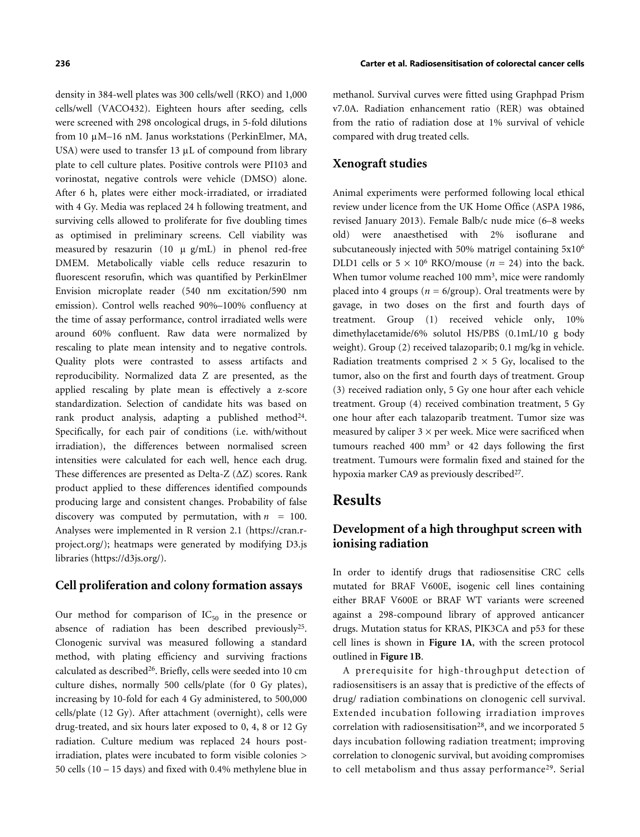density in 384-well plates was 300 cells/well (RKO) and 1,000 cells/well (VACO432). Eighteen hours after seeding, cells were screened with 298 oncological drugs, in 5-fold dilutions from 10 μM–16 nM. Janus workstations (PerkinElmer, MA, USA) were used to transfer 13 μL of compound from library plate to cell culture plates. Positive controls were PI103 and vorinostat, negative controls were vehicle (DMSO) alone. After 6 h, plates were either mock-irradiated, or irradiated with 4 Gy. Media was replaced 24 h following treatment, and surviving cells allowed to proliferate for five doubling times as optimised in preliminary screens. Cell viability was measured by resazurin (10  $\mu$  g/mL) in phenol red-free DMEM. Metabolically viable cells reduce resazurin to fluorescent resorufin, which was quantified by PerkinElmer Envision microplate reader (540 nm excitation/590 nm emission). Control wells reached 90%–100% confluency at the time of assay performance, control irradiated wells were around 60% confluent. Raw data were normalized by rescaling to plate mean intensity and to negative controls. Quality plots were contrasted to assess artifacts and reproducibility. Normalized data Z are presented, as the applied rescaling by plate mean is effectively a z-score standardization. Selection of candidate hits was based on rank product analysis, adapting a published method<sup>[24](#page-11-8)</sup>. Specifically, for each pair of conditions (i.e. with/without irradiation), the differences between normalised screen intensities were calculated for each well, hence each drug. These differences are presented as Delta-Z (ΔZ) scores. Rank product applied to these differences identified compounds producing large and consistent changes. Probability of false discovery was computed by permutation, with  $n = 100$ . Analyses were implemented in R version 2.1 ([https://cran.r](https://cran.r-project.org/)[project.org/](https://cran.r-project.org/)); heatmaps were generated by modifying D3.js libraries [\(https://d3js.org/](https://d3js.org/)).

### **Cell proliferation and colony formation assays**

Our method for comparison of  $IC_{50}$  in the presence or absence of radiation has been described previously<sup>[25](#page-11-9)</sup>. Clonogenic survival was measured following a standard method, with plating efficiency and surviving fractions calculated as described<sup>[26](#page-11-10)</sup>. Briefly, cells were seeded into 10 cm culture dishes, normally 500 cells/plate (for 0 Gy plates), increasing by 10-fold for each 4 Gy administered, to 500,000 cells/plate (12 Gy). After attachment (overnight), cells were drug-treated, and six hours later exposed to 0, 4, 8 or 12 Gy radiation. Culture medium was replaced 24 hours postirradiation, plates were incubated to form visible colonies > 50 cells (10 – 15 days) and fixed with 0.4% methylene blue in

methanol. Survival curves were fitted using Graphpad Prism v7.0A. Radiation enhancement ratio (RER) was obtained from the ratio of radiation dose at 1% survival of vehicle compared with drug treated cells.

#### **Xenograft studies**

Animal experiments were performed following local ethical review under licence from the UK Home Office (ASPA 1986, revised January 2013). Female Balb/c nude mice (6–8 weeks old) were anaesthetised with 2% isoflurane and subcutaneously injected with 50% matrigel containing 5x10<sup>6</sup> DLD1 cells or  $5 \times 10^6$  RKO/mouse ( $n = 24$ ) into the back. When tumor volume reached 100 mm<sup>3</sup>, mice were randomly placed into 4 groups ( $n = 6$ /group). Oral treatments were by gavage, in two doses on the first and fourth days of treatment. Group (1) received vehicle only, 10% dimethylacetamide/6% solutol HS/PBS (0.1mL/10 g body weight). Group (2) received talazoparib; 0.1 mg/kg in vehicle. Radiation treatments comprised  $2 \times 5$  Gy, localised to the tumor, also on the first and fourth days of treatment. Group (3) received radiation only, 5 Gy one hour after each vehicle treatment. Group (4) received combination treatment, 5 Gy one hour after each talazoparib treatment. Tumor size was measured by caliper  $3 \times$  per week. Mice were sacrificed when tumours reached 400 mm<sup>3</sup> or 42 days following the first treatment. Tumours were formalin fixed and stained for the hypoxia marker CA9 as previously described<sup>[27](#page-11-11)</sup>.

# **Results**

# **Development of a high throughput screen with ionising radiation**

In order to identify drugs that radiosensitise CRC cells mutated for BRAF V600E, isogenic cell lines containing either BRAF V600E or BRAF WT variants were screened against a 298-compound library of approved anticancer drugs. Mutation status for KRAS, PIK3CA and p53 for these cell lines is shown in **[Figure 1A](#page-3-0)**, with the screen protocol outlined in **[Figure 1B](#page-3-0)**.

A prerequisite for high-throughput detection of radiosensitisers is an assay that is predictive of the effects of drug/ radiation combinations on clonogenic cell survival. Extended incubation following irradiation improves correlation with radiosensitisation<sup>[28](#page-11-12)</sup>, and we incorporated 5 days incubation following radiation treatment; improving correlation to clonogenic survival, but avoiding compromises to cell metabolism and thus assay performance<sup>[29](#page-11-13)</sup>. Serial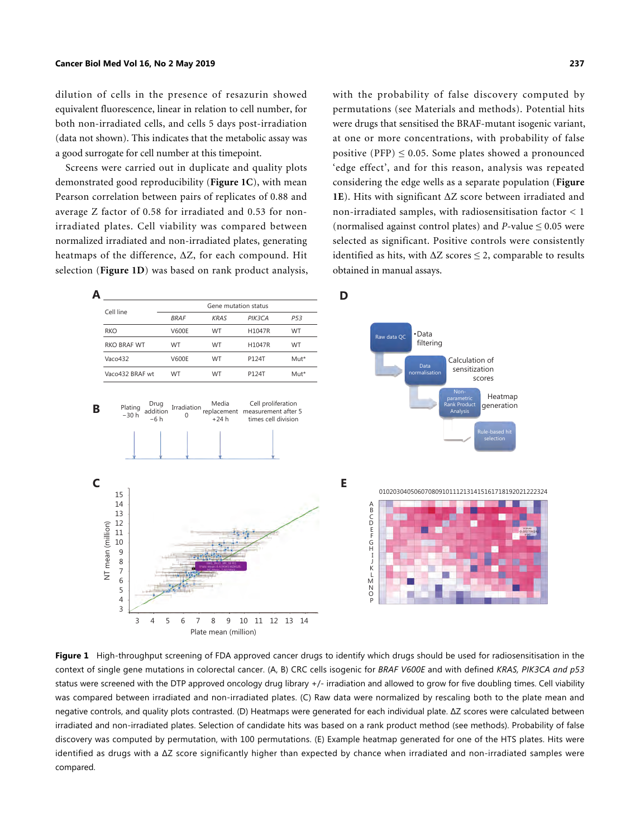dilution of cells in the presence of resazurin showed equivalent fluorescence, linear in relation to cell number, for both non-irradiated cells, and cells 5 days post-irradiation (data not shown). This indicates that the metabolic assay was a good surrogate for cell number at this timepoint.

Screens were carried out in duplicate and quality plots demonstrated good reproducibility (**[Figure 1C](#page-3-0)**), with mean Pearson correlation between pairs of replicates of 0.88 and average Z factor of 0.58 for irradiated and 0.53 for nonirradiated plates. Cell viability was compared between normalized irradiated and non-irradiated plates, generating heatmaps [of the diff](#page-3-0)erence, ΔZ, for each compound. Hit selection (**[Figure 1D](#page-3-0)**) was based on rank product analysis, with the probability of false discovery computed by permutations (see Materials and methods). Potential hits were drugs that sensitised the BRAF-mutant isogenic variant, at one or more concentrations, with probability of false positive (PFP)  $\leq$  0.05. Some plates showed a pronounced 'edge effect', and for this reason, analysis was repeated [con](#page-3-0)sidering the edge wells as a separate population (**[Figure](#page-3-0) [1E](#page-3-0)**). Hits with significant ΔZ score between irradiated and non-irradiated samples, with radiosensitisation factor < 1 (normalised against control plates) and *P*-value  $\leq 0.05$  were selected as significant. Positive controls were consistently identified as hits, with  $\Delta Z$  scores  $\leq$  2, comparable to results obtained in manual assays.



<span id="page-3-0"></span>Figure 1 High-throughput screening of FDA approved cancer drugs to identify which drugs should be used for radiosensitisation in the context of single gene mutations in colorectal cancer. (A, B) CRC cells isogenic for *BRAF V600E* and with defined *KRAS, PIK3CA and p53* status were screened with the DTP approved oncology drug library +/- irradiation and allowed to grow for five doubling times. Cell viability was compared between irradiated and non-irradiated plates. (C) Raw data were normalized by rescaling both to the plate mean and negative controls, and quality plots contrasted. (D) Heatmaps were generated for each individual plate. ΔZ scores were calculated between irradiated and non-irradiated plates. Selection of candidate hits was based on a rank product method (see methods). Probability of false discovery was computed by permutation, with 100 permutations. (E) Example heatmap generated for one of the HTS plates. Hits were identified as drugs with a ΔZ score significantly higher than expected by chance when irradiated and non-irradiated samples were compared.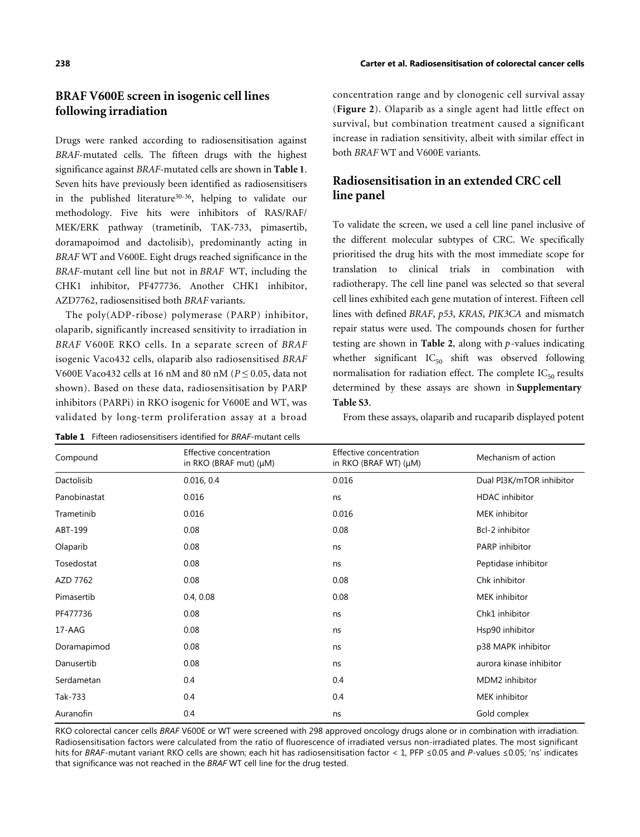# **BRAF V600E screen in isogenic cell lines following irradiation**

Drugs were ranked according to radiosensitisation against *BRAF*-mutated cells. The fifteen drugs with the highest significance against *BRAF*-mutated cells are shown in **[Table 1](#page-4-0)**. Seven hits have previously been identified as radiosensitisers in the published literature<sup>[30](#page-11-14)-[36](#page-11-15)</sup>, helping to validate our methodology. Five hits were inhibitors of RAS/RAF/ MEK/ERK pathway (trametinib, TAK-733, pimasertib, doramapoimod and dactolisib), predominantly acting in *BRAF* WT and V600E. Eight drugs reached significance in the *BRAF*-mutant cell line but not in *BRAF* WT, including the CHK1 inhibitor, PF477736. Another CHK1 inhibitor, AZD7762, radiosensitised both *BRAF* variants.

The poly(ADP-ribose) polymerase (PARP) inhibitor, olaparib, significantly increased sensitivity to irradiation in *BRAF* V600E RKO cells. In a separate screen of *BRAF* isogenic Vaco432 cells, olaparib also radiosensitised *BRAF* V600E Vaco432 cells at 16 nM and 80 nM (*P* ≤ 0.05, data not shown). Based on these data, radiosensitisation by PARP inhibitors (PARPi) in RKO isogenic for V600E and WT, was validated by long-term proliferation assay at a broad

<span id="page-4-0"></span>**Table 1** Fifteen radiosensitisers identified for *BRAF*-mutant cells

concentration range and by clonogenic cell survival assay (**[Figure 2](#page-5-0)**). Olaparib as a single agent had little effect on survival, but combination treatment caused a significant increase in radiation sensitivity, albeit with similar effect in both *BRAF* WT and V600E variants.

# **Radiosensitisation in an extended CRC cell line panel**

To validate the screen, we used a cell line panel inclusive of the different molecular subtypes of CRC. We specifically prioritised the drug hits with the most immediate scope for translation to clinical trials in combination with radiotherapy. The cell line panel was selected so that several cell lines exhibited each gene mutation of interest. Fifteen cell lines with defined *BRAF*, *p53*, *KRAS*, *PIK3CA* and mismatch repair status were us[ed. The](#page-6-0) compounds chosen for further testing are shown in **[Table 2](#page-6-0)**, along with *p*-values indicating whether significant  $IC_{50}$  shift was observed following normalisation for radiation effect. The complete  $IC_{50}$  results determined by these assays are shown in **Supplementary Table S3**.

From these assays, olaparib and rucaparib displayed potent

| Compound     | Effective concentration<br>in RKO (BRAF mut) $(\mu M)$ | Effective concentration<br>in RKO (BRAF WT) $(\mu M)$ | Mechanism of action      |
|--------------|--------------------------------------------------------|-------------------------------------------------------|--------------------------|
| Dactolisib   | 0.016, 0.4                                             | 0.016                                                 | Dual PI3K/mTOR inhibitor |
| Panobinastat | 0.016                                                  | ns                                                    | <b>HDAC</b> inhibitor    |
| Trametinib   | 0.016                                                  | 0.016                                                 | MEK inhibitor            |
| ABT-199      | 0.08                                                   | 0.08                                                  | Bcl-2 inhibitor          |
| Olaparib     | 0.08                                                   | ns                                                    | PARP inhibitor           |
| Tosedostat   | 0.08                                                   | ns                                                    | Peptidase inhibitor      |
| AZD 7762     | 0.08                                                   | 0.08                                                  | Chk inhibitor            |
| Pimasertib   | 0.4, 0.08                                              | 0.08                                                  | MEK inhibitor            |
| PF477736     | 0.08                                                   | ns                                                    | Chk1 inhibitor           |
| 17-AAG       | 0.08                                                   | ns                                                    | Hsp90 inhibitor          |
| Doramapimod  | 0.08                                                   | ns                                                    | p38 MAPK inhibitor       |
| Danusertib   | 0.08                                                   | ns                                                    | aurora kinase inhibitor  |
| Serdametan   | 0.4                                                    | 0.4                                                   | MDM2 inhibitor           |
| Tak-733      | 0.4                                                    | 0.4                                                   | MEK inhibitor            |
| Auranofin    | 0.4                                                    | ns                                                    | Gold complex             |
|              |                                                        |                                                       |                          |

RKO colorectal cancer cells *BRAF* V600E or WT were screened with 298 approved oncology drugs alone or in combination with irradiation. Radiosensitisation factors were calculated from the ratio of fluorescence of irradiated versus non-irradiated plates. The most significant hits for *BRAF*-mutant variant RKO cells are shown; each hit has radiosensitisation factor < 1, PFP ≤0.05 and *P*-values ≤0.05; 'ns' indicates that significance was not reached in the *BRAF* WT cell line for the drug tested.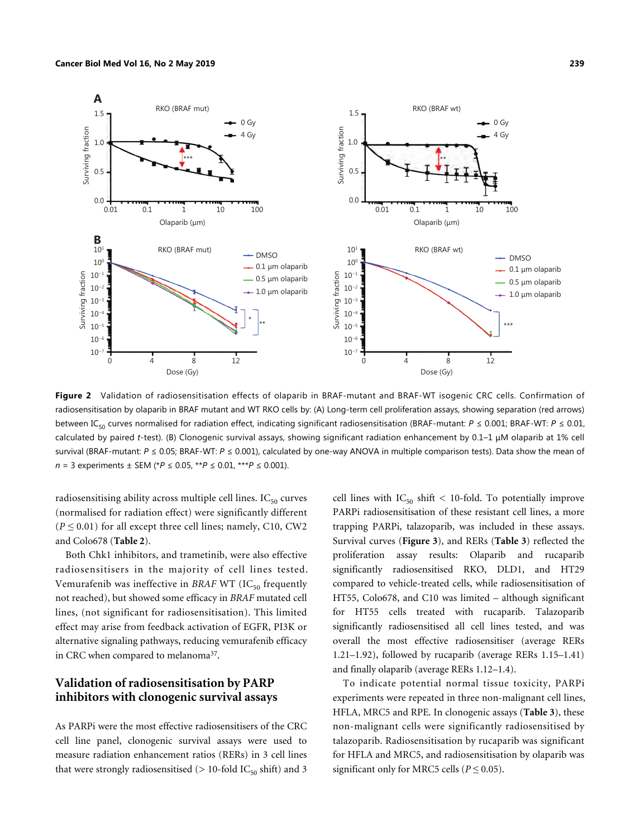

<span id="page-5-0"></span>**Figure 2** Validation of radiosensitisation effects of olaparib in BRAF-mutant and BRAF-WT isogenic CRC cells. Confirmation of radiosensitisation by olaparib in BRAF mutant and WT RKO cells by: (A) Long-term cell proliferation assays, showing separation (red arrows) between IC<sub>50</sub> curves normalised for radiation effect, indicating significant radiosensitisation (BRAF-mutant:  $P \le 0.001$ ; BRAF-WT:  $P \le 0.01$ , calculated by paired *t*-test). (B) Clonogenic survival assays, showing significant radiation enhancement by 0.1–1 μM olaparib at 1% cell survival (BRAF-mutant: *P* ≤ 0.05; BRAF-WT: *P* ≤ 0.001), calculated by one-way ANOVA in multiple comparison tests). Data show the mean of *n* = 3 experiments ± SEM (\**P* ≤ 0.05, \*\**P* ≤ 0.01, \*\*\**P* ≤ 0.001).

radiosensitising ability across multiple cell lines.  $IC_{50}$  curves (normalised for radiation effect) were significantly different  $(P \le 0.01)$  for all except three cell lines; namely, C10, CW2 and Colo678 (**[Table 2](#page-6-0)**).

Both Chk1 inhibitors, and trametinib, were also effective radiosensitisers in the majority of cell lines tested. Vemurafenib was ineffective in *BRAF* WT (IC<sub>50</sub> frequently not reached), but showed some efficacy in *BRAF* mutated cell lines, (not significant for radiosensitisation). This limited effect may arise from feedback activation of EGFR, PI3K or alternative signaling pathways, reducing vemurafenib efficacy in CRC when compared to melanoma<sup>[37](#page-11-16)</sup>.

#### **Validation of radiosensitisation by PARP inhibitors with clonogenic survival assays**

As PARPi were the most effective radiosensitisers of the CRC cell line panel, clonogenic survival assays were used to measure radiation enhancement ratios (RERs) in 3 cell lines that were strongly radiosensitised ( $> 10$ -fold IC<sub>50</sub> shift) and 3 cell lines with  $IC_{50}$  shift < 10-fold. To potentially improve PARPi radiosensitisation of these resistant cell lines, a more trapping PARPi, talazoparib, was included in these assays. Survival curves (**[Figure 3](#page-7-0)**), and RERs (**[Table 3](#page-8-0)**) reflected the proliferation assay results: Olaparib and rucaparib significantly radiosensitised RKO, DLD1, and HT29 compared to vehicle-treated cells, while radiosensitisation of HT55, Colo678, and C10 was limited – although significant for HT55 cells treated with rucaparib. Talazoparib significantly radiosensitised all cell lines tested, and was overall the most effective radiosensitiser (average RERs 1.21–1.92), followed by rucaparib (average RERs 1.15–1.41) and finally olaparib (average RERs 1.12–1.4).

To indicate potential normal tissue toxicity, PARPi experiments were repeated in three non-mali[gnant ce](#page-8-0)ll lines, HFLA, MRC5 and RPE. In clonogenic assays (**[Table 3](#page-8-0)**), these non-malignant cells were significantly radiosensitised by talazoparib. Radiosensitisation by rucaparib was significant for HFLA and MRC5, and radiosensitisation by olaparib was significant only for MRC5 cells ( $P \le 0.05$ ).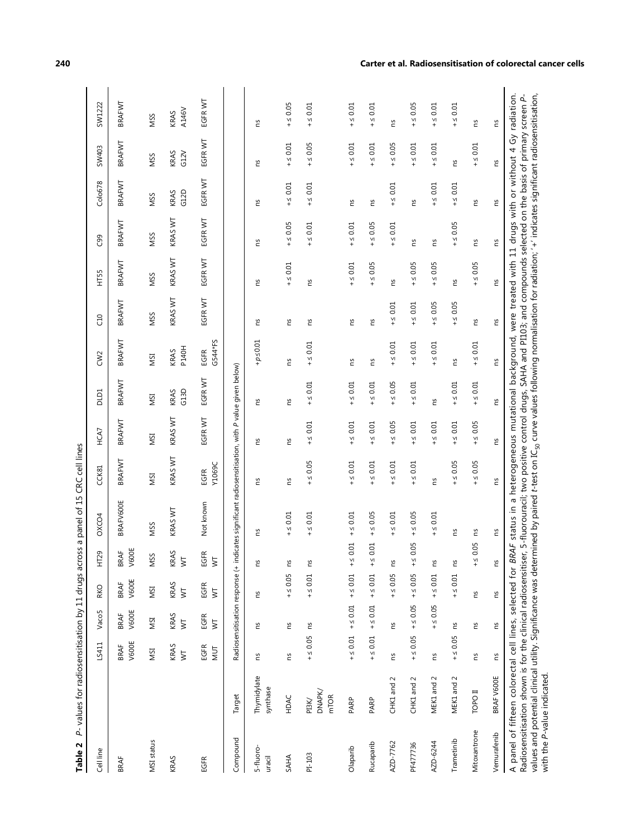| Table 2                                                                                                                                                                                                                                                                                                                                                                                                                                                                                  |                                            |                                 |                                  |                                 |                          | P-values for radiosensitisation by 11 drugs across a panel of 15 CRC cell lines                                  |                |              |              |                      |               |              |                 |              |              |               |
|------------------------------------------------------------------------------------------------------------------------------------------------------------------------------------------------------------------------------------------------------------------------------------------------------------------------------------------------------------------------------------------------------------------------------------------------------------------------------------------|--------------------------------------------|---------------------------------|----------------------------------|---------------------------------|--------------------------|------------------------------------------------------------------------------------------------------------------|----------------|--------------|--------------|----------------------|---------------|--------------|-----------------|--------------|--------------|---------------|
| Cell line                                                                                                                                                                                                                                                                                                                                                                                                                                                                                |                                            | LS411                           | Vaco5                            | RKO                             | HT29                     | OXCO4                                                                                                            | CCK81          | HCA7         | <b>DLD1</b>  | CW <sub>2</sub>      | C10           | HT55         | C <sub>99</sub> | Colo678      | <b>SW403</b> | SW1222        |
| <b>BRAF</b>                                                                                                                                                                                                                                                                                                                                                                                                                                                                              |                                            | V600E<br><b>BRAF</b>            | V600E<br><b>BRAF</b>             | V600E<br><b>BRAF</b>            | V600E<br>BRAF            | <b>BRAFV600E</b>                                                                                                 | BRAFWT         | BRAFWT       | BRAFWT       | BRAFWT               | BRAFWT        | BRAFWT       | BRAFWT          | BRAFWT       | BRAFWT       | BRAFWT        |
| MSI status                                                                                                                                                                                                                                                                                                                                                                                                                                                                               |                                            | NSI                             | ΝSΙ                              | NSI                             | VSS                      | <b>NSS</b>                                                                                                       | ISM            | ΝSΙ          | <b>NSI</b>   | ISIN                 | <b>NSS</b>    | <b>NSS</b>   | NSS             | <b>NSS</b>   | <b>NSS</b>   | <b>NSS</b>    |
| KRAS                                                                                                                                                                                                                                                                                                                                                                                                                                                                                     |                                            | KRAS<br>$\overline{\mathsf{S}}$ | KRAS<br>$\overline{\overline{}}$ | KRAS<br>$\overline{\mathsf{x}}$ | KRAS<br>$\overline{\xi}$ | KRAS WT                                                                                                          | KRAS WT        | KRAS WT      | G13D<br>KRAS | <b>P140H</b><br>KRAS | KRAS WT       | KRAS WT      | KRAS WT         | G12D<br>KRAS | KRAS<br>G12V | A146V<br>KRAS |
| EGFR                                                                                                                                                                                                                                                                                                                                                                                                                                                                                     |                                            | EGFR<br>$\overline{\mathsf{M}}$ | EGFR<br>$\overline{\mathsf{x}}$  | EGFR<br>$\overline{\mathsf{x}}$ | <b>EGFR</b><br>ξ         | Not known                                                                                                        | Y1069C<br>EGFR | EGFR WT      | EGFR WT      | G544*FS<br>EGFR      | EGFRWT        | EGFRWT       | EGFR WT         | EGFR WT      | EGFR WT      | EGFR WT       |
| Compound                                                                                                                                                                                                                                                                                                                                                                                                                                                                                 | Target                                     |                                 | Radiosensitisation response (+   |                                 |                          | indicates significant radiosensitisation, with P value given below)                                              |                |              |              |                      |               |              |                 |              |              |               |
| 5-fluoro-<br>uracil                                                                                                                                                                                                                                                                                                                                                                                                                                                                      | Thymidylate<br>synthase                    | č                               | č                                | ΓS                              | ഇ                        | č                                                                                                                | č              | č            | č            | $+\rho {\leq} 0.01$  | č             | č            | č               | č            | č            | č             |
| SAHA                                                                                                                                                                                                                                                                                                                                                                                                                                                                                     | HDAC                                       | č                               | č                                | $+50.05$                        | 5                        | $+\leq 0.01$                                                                                                     | ξ              | č            | č            | č                    | 5             | $+\leq 0.01$ | $+50.05$        | $+\leq 0.01$ | $+50.01$     | $+50.05$      |
| PI-103                                                                                                                                                                                                                                                                                                                                                                                                                                                                                   | <b>DNAPK/</b><br>m <sub>TOR</sub><br>PI3K/ | $+50.05$                        | ξ                                | $+\leq 0.01$                    | Σ                        | $+\leq 0.01$                                                                                                     | $+50.05$       | $+\leq 0.01$ | $+50.01$     | $+\leq 0.01$         | S.            | č            | $+\leq 0.01$    | $+\leq 0.01$ | $+50.05$     | $+\leq 0.01$  |
| Olaparib                                                                                                                                                                                                                                                                                                                                                                                                                                                                                 | PARP                                       | $+50.01$                        | $+z \leq 0.01$                   | $+50.01$                        | $-5.01$                  | $+5.001$                                                                                                         | $+50.01$       | $+5.001$     | $+50.01$     | SU                   | 5U            | $+50.01$     | $+50.01$        | 5U           | $+\leq 0.01$ | $+\leq 0.01$  |
| Rucaparib                                                                                                                                                                                                                                                                                                                                                                                                                                                                                | PARP                                       | $+50.01$                        | $+50.01$                         | $+\leq 0.01$                    | $\leq 0.01$              | $+50.05$                                                                                                         | $+50.01$       | $+\leq 0.01$ | $+50.01$     | ΓS                   | S.            | $+50.05$     | $+50.05$        | č            | $+50.01$     | $+50.01$      |
| AZD-7762                                                                                                                                                                                                                                                                                                                                                                                                                                                                                 | 2<br>CHK1 and                              | č                               | Ωū                               | $+50.05$                        | ഗ                        | $+50.01$                                                                                                         | $+50.01$       | $+50.05$     | $+50.05$     | $+50.01$             | $+\leq 0.01$  | č            | $+50.01$        | $+5.001$     | $+50.05$     | č             |
| PF477736                                                                                                                                                                                                                                                                                                                                                                                                                                                                                 | CHK1 and 2                                 | $+50.05$                        | $+50.05$                         | $+50.05$                        | $-50.05$                 | $+50.05$                                                                                                         | $+\leq 0.01$   | $+50.01$     | $+\leq 0.01$ | $+50.01$             | $+50.01$      | $+50.05$     | č               | SU           | $+5.001$     | $+50.05$      |
| AZD-6244                                                                                                                                                                                                                                                                                                                                                                                                                                                                                 | MEK1 and 2                                 | Σq                              | $+50.05$                         | $+50.01$                        | 5                        | $+\leq 0.01$                                                                                                     | 5U             | $+50.01$     | Σq           | $+\leq 0.01$         | $+ \leq 0.05$ | $+50.05$     | Σu              | $+\leq 0.01$ | $+\leq 0.01$ | $+\leq 0.01$  |
| Trametinib                                                                                                                                                                                                                                                                                                                                                                                                                                                                               | MEK1 and 2                                 | $+50.05$                        | Σq                               | $+\leq 0.01$                    | Š                        | č                                                                                                                | $+50.05$       | $+50.01$     | $+\leq 0.01$ | Σu                   | $+50.05$      | č            | $+50.05$        | $+\leq 0.01$ | Σu           | $+\leq 0.01$  |
| Mitoxantrone                                                                                                                                                                                                                                                                                                                                                                                                                                                                             | I OdO1                                     | č                               | SU.                              | č                               | $-50.05$                 | č                                                                                                                | $+50.05$       | $+50.05$     | $+\leq 0.01$ | $+\leq 0.01$         | S             | $+50.05$     | č               | č            | $+\leq 0.01$ | č             |
| Vemurafenib                                                                                                                                                                                                                                                                                                                                                                                                                                                                              | BRAF V600E                                 | č                               | ξ                                | č                               | SU.                      | č                                                                                                                | Σu             | Σu           | ns           | ns                   | SJ            | ns           | Ωū              | Σu           | Σu           | č             |
| values and potential clinical utility. Significance was determined by paired t-test on IC <sub>50</sub> curve values following normalisation for radiation; '+' indicates significant radiosensitisation,<br>Radiosensitisation shown is for the clinical radiosensitiser, 5-fluorouracil; two positive control drugs, SAHA and PI103; and compounds selected on the basis of primary screen P-<br>A panel of fifteen colorectal cell lines, selected for<br>with the P-value indicated. |                                            |                                 |                                  |                                 |                          | BRAF status in a heterogeneous mutational background, were treated with 11 drugs with or without 4 Gy radiation. |                |              |              |                      |               |              |                 |              |              |               |

<span id="page-6-0"></span>

#### **240 Carter et al. Radiosensitisation of colorectal cancer cells**

with the *P*-value indicated.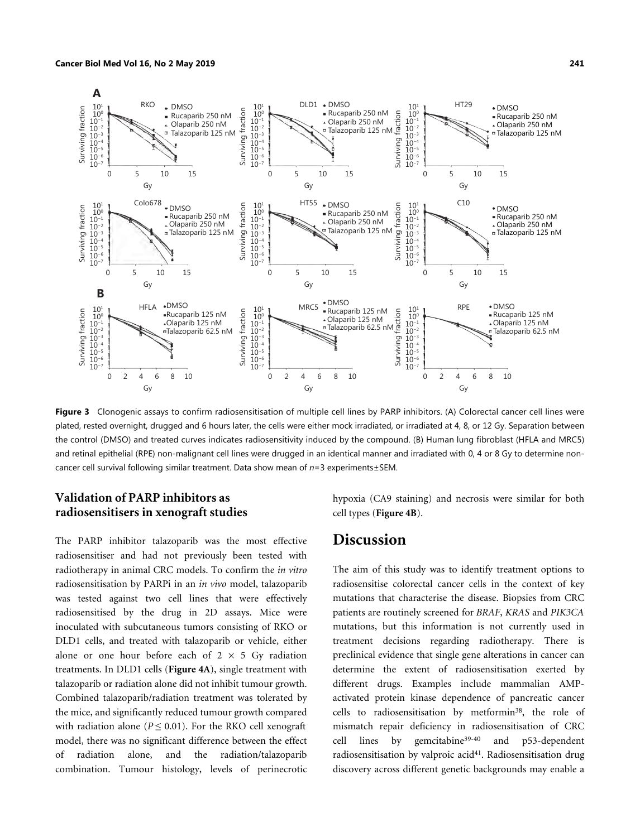

<span id="page-7-0"></span>**Figure 3** Clonogenic assays to confirm radiosensitisation of multiple cell lines by PARP inhibitors. (A) Colorectal cancer cell lines were plated, rested overnight, drugged and 6 hours later, the cells were either mock irradiated, or irradiated at 4, 8, or 12 Gy. Separation between the control (DMSO) and treated curves indicates radiosensitivity induced by the compound. (B) Human lung fibroblast (HFLA and MRC5) and retinal epithelial (RPE) non-malignant cell lines were drugged in an identical manner and irradiated with 0, 4 or 8 Gy to determine noncancer cell survival following similar treatment. Data show mean of *n*=3 experiments±SEM.

# **Validation of PARP inhibitors as radiosensitisers in xenograft studies**

The PARP inhibitor talazoparib was the most effective radiosensitiser and had not previously been tested with radiotherapy in animal CRC models. To confirm the *in vitro* radiosensitisation by PARPi in an *in vivo* model, talazoparib was tested against two cell lines that were effectively radiosensitised by the drug in 2D assays. Mice were inoculated with subcutaneous tumors consisting of RKO or DLD1 cells, and treated with talazoparib or vehicle, either alone or one hour before each of  $2 \times 5$  Gy radiation treatments. In DLD1 cells (**[Figure 4A](#page-9-0)**), single treatment with talazoparib or radiation alone did not inhibit tumour growth. Combined talazoparib/radiation treatment was tolerated by the mice, and significantly reduced tumour growth compared with radiation alone ( $P \leq 0.01$ ). For the RKO cell xenograft model, there was no significant difference between the effect of radiation alone, and the radiation/talazoparib combination. Tumour histology, levels of perinecrotic hypoxia (CA9 staining) and necrosis were similar for both cell types (**[Figure 4B](#page-9-0)**).

# **Discussion**

The aim of this study was to identify treatment options to radiosensitise colorectal cancer cells in the context of key mutations that characterise the disease. Biopsies from CRC patients are routinely screened for *BRAF*, *KRAS* and *PIK3CA* mutations, but this information is not currently used in treatment decisions regarding radiotherapy. There is preclinical evidence that single gene alterations in cancer can determine the extent of radiosensitisation exerted by different drugs. Examples include mammalian AMPactivated protein kinase dependence of pancreatic cancer cells to radiosensitisation by metformin[38](#page-11-17), the role of mismatch repair deficiency in radiosensitisation of CRC cell lines by gemcitabine[39](#page-11-18)-[40](#page-11-19) and p53-dependent radiosensitisation by valproic acid<sup>[41](#page-11-20)</sup>. Radiosensitisation drug discovery across different genetic backgrounds may enable a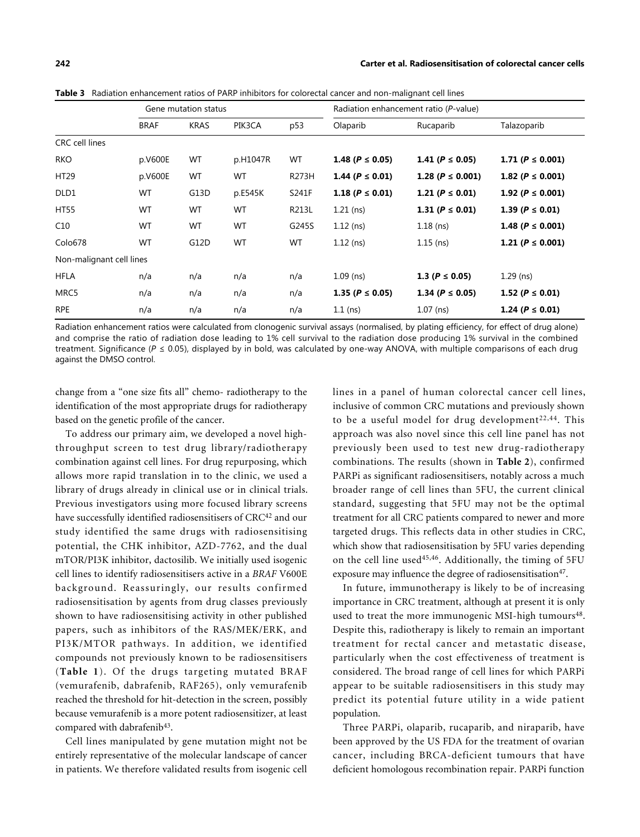<span id="page-8-0"></span>**Table 3** Radiation enhancement ratios of PARP inhibitors for colorectal cancer and non-malignant cell lines

|                          |             | Gene mutation status |          |       |                        | Radiation enhancement ratio (P-value) |                         |
|--------------------------|-------------|----------------------|----------|-------|------------------------|---------------------------------------|-------------------------|
|                          | <b>BRAF</b> | <b>KRAS</b>          | PIK3CA   | p53   | Olaparib               | Rucaparib                             | Talazoparib             |
| <b>CRC</b> cell lines    |             |                      |          |       |                        |                                       |                         |
| <b>RKO</b>               | p.V600E     | WT                   | p.H1047R | WT    | 1.48 ( $P \le 0.05$ )  | 1.41 ( $P \le 0.05$ )                 | 1.71 ( $P \leq 0.001$ ) |
| HT29                     | p.V600E     | WT                   | WT       | R273H | 1.44 ( $P \leq 0.01$ ) | 1.28 ( $P \le 0.001$ )                | 1.82 ( $P \leq 0.001$ ) |
| DLD1                     | <b>WT</b>   | G13D                 | p.E545K  | S241F | 1.18 ( $P \leq 0.01$ ) | 1.21 ( $P \leq 0.01$ )                | 1.92 ( $P \leq 0.001$ ) |
| HT55                     | WT          | WT                   | WT       | R213L | $1.21$ (ns)            | 1.31 ( $P \leq 0.01$ )                | 1.39 ( $P \leq 0.01$ )  |
| C10                      | WT          | WT                   | WT       | G245S | $1.12$ (ns)            | $1.18$ (ns)                           | 1.48 ( $P \leq 0.001$ ) |
| Colo678                  | WT          | G12D                 | WT       | WT    | $1.12$ (ns)            | $1.15$ (ns)                           | 1.21 ( $P \leq 0.001$ ) |
| Non-malignant cell lines |             |                      |          |       |                        |                                       |                         |
| <b>HFLA</b>              | n/a         | n/a                  | n/a      | n/a   | $1.09$ (ns)            | 1.3 ( $P \le 0.05$ )                  | $1.29$ (ns)             |
| MRC5                     | n/a         | n/a                  | n/a      | n/a   | 1.35 ( $P \le 0.05$ )  | 1.34 ( $P \leq 0.05$ )                | 1.52 ( $P \leq 0.01$ )  |
| <b>RPE</b>               | n/a         | n/a                  | n/a      | n/a   | $1.1$ (ns)             | $1.07$ (ns)                           | 1.24 ( $P \le 0.01$ )   |

Radiation enhancement ratios were calculated from clonogenic survival assays (normalised, by plating efficiency, for effect of drug alone) and comprise the ratio of radiation dose leading to 1% cell survival to the radiation dose producing 1% survival in the combined treatment. Significance (*P* ≤ 0.05), displayed by in bold, was calculated by one-way ANOVA, with multiple comparisons of each drug against the DMSO control.

change from a "one size fits all" chemo- radiotherapy to the identification of the most appropriate drugs for radiotherapy based on the genetic profile of the cancer.

To address our primary aim, we developed a novel highthroughput screen to test drug library/radiotherapy combination against cell lines. For drug repurposing, which allows more rapid translation in to the clinic, we used a library of drugs already in clinical use or in clinical trials. Previous investigators using more focused library screens have successfully identified radiosensitisers of CRC<sup>[42](#page-11-21)</sup> and our study identified the same drugs with radiosensitising potential, the CHK inhibitor, AZD-7762, and the dual mTOR/PI3K inhibitor, dactosilib. We initially used isogenic cell lines to identify radiosensitisers active in a *BRAF* V600E background. Reassuringly, our results confirmed radiosensitisation by agents from drug classes previously shown to have radiosensitising activity in other published papers, such as inhibitors of the RAS/MEK/ERK, and PI3K/MTOR pathways. In addition, we identified compounds not previously known to be radiosensitisers (**[Table 1](#page-4-0)**). Of the drugs targeting mutated BRAF (vemurafenib, dabrafenib, RAF265), only vemurafenib reached the threshold for hit-detection in the screen, possibly because vemurafenib is a more potent radiosensitizer, at least compared with dabrafenib<sup>[43](#page-11-22)</sup>.

Cell lines manipulated by gene mutation might not be entirely representative of the molecular landscape of cancer in patients. We therefore validated results from isogenic cell lines in a panel of human colorectal cancer cell lines, inclusive of common CRC mutations and previously shown to be a useful model for drug development<sup>[22](#page-11-6),[44](#page-12-0)</sup>. This approach was also novel since this cell line panel has not previously been used to test new drug-radiotherapy combinations. The results (shown in **[Table 2](#page-6-0)**), confirmed PARPi as significant radiosensitisers, notably across a much broader range of cell lines than 5FU, the current clinical standard, suggesting that 5FU may not be the optimal treatment for all CRC patients compared to newer and more targeted drugs. This reflects data in other studies in CRC, which show that radiosensitisation by 5FU varies depending on the cell line used<sup>[45](#page-12-1)[,46](#page-12-2)</sup>. Additionally, the timing of 5FU exposure may influence the degree of radiosensitisation<sup>[47](#page-12-3)</sup>.

In future, immunotherapy is likely to be of increasing importance in CRC treatment, although at present it is only used to treat the more immunogenic MSI-high tumours<sup>[48](#page-12-4)</sup>. Despite this, radiotherapy is likely to remain an important treatment for rectal cancer and metastatic disease, particularly when the cost effectiveness of treatment is considered. The broad range of cell lines for which PARPi appear to be suitable radiosensitisers in this study may predict its potential future utility in a wide patient population.

Three PARPi, olaparib, rucaparib, and niraparib, have been approved by the US FDA for the treatment of ovarian cancer, including BRCA-deficient tumours that have deficient homologous recombination repair. PARPi function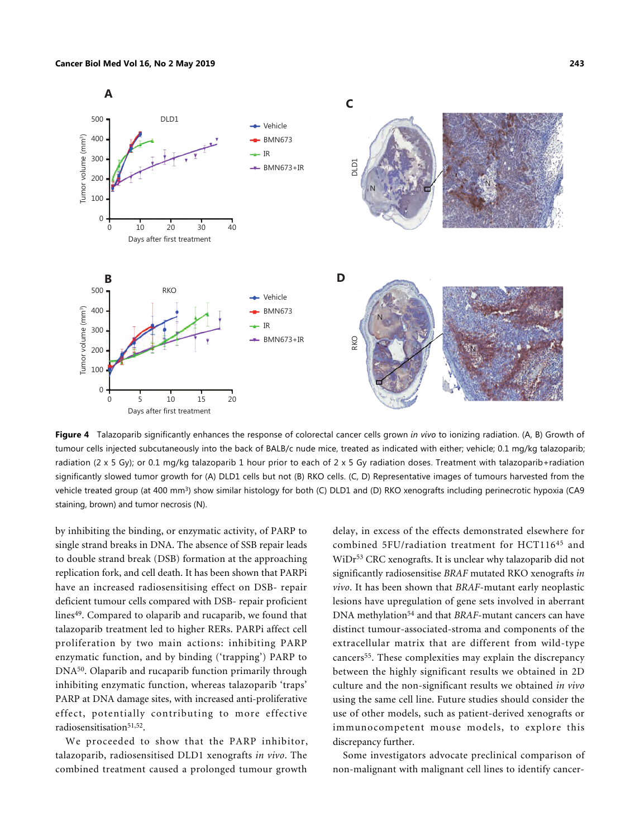

<span id="page-9-0"></span>**Figure 4** Talazoparib significantly enhances the response of colorectal cancer cells grown *in vivo* to ionizing radiation. (A, B) Growth of tumour cells injected subcutaneously into the back of BALB/c nude mice, treated as indicated with either; vehicle; 0.1 mg/kg talazoparib; radiation (2 x 5 Gy); or 0.1 mg/kg talazoparib 1 hour prior to each of 2 x 5 Gy radiation doses. Treatment with talazoparib+radiation significantly slowed tumor growth for (A) DLD1 cells but not (B) RKO cells. (C, D) Representative images of tumours harvested from the vehicle treated group (at 400 mm<sup>3</sup>) show similar histology for both (C) DLD1 and (D) RKO xenografts including perinecrotic hypoxia (CA9 staining, brown) and tumor necrosis (N).

by inhibiting the binding, or enzymatic activity, of PARP to single strand breaks in DNA. The absence of SSB repair leads to double strand break (DSB) formation at the approaching replication fork, and cell death. It has been shown that PARPi have an increased radiosensitising effect on DSB- repair deficient tumour cells compared with DSB- repair proficient lines[49](#page-12-5). Compared to olaparib and rucaparib, we found that talazoparib treatment led to higher RERs. PARPi affect cell proliferation by two main actions: inhibiting PARP enzymatic function, and by binding ('trapping') PARP to DNA[50](#page-12-6). Olaparib and rucaparib function primarily through inhibiting enzymatic function, whereas talazoparib 'traps' PARP at DNA damage sites, with increased anti-proliferative effect, potentially contributing to more effective radiosensitisation<sup>[51](#page-12-7),[52](#page-12-8)</sup>.

We proceeded to show that the PARP inhibitor, talazoparib, radiosensitised DLD1 xenografts *in vivo*. The combined treatment caused a prolonged tumour growth

delay, in excess of the effects demonstrated elsewhere for combined 5FU/radiation treatment for HCT116[45](#page-12-1) and WiDr<sup>[53](#page-12-9)</sup> CRC xenografts. It is unclear why talazoparib did not significantly radiosensitise *BRAF* mutated RKO xenografts *in vivo*. It has been shown that *BRAF*-mutant early neoplastic lesions have upregulation of gene sets involved in aberrant DNA methylation[54](#page-12-10) and that *BRAF*-mutant cancers can have distinct tumour-associated-stroma and components of the extracellular matrix that are different from wild-type cancers<sup>[55](#page-12-11)</sup>. These complexities may explain the discrepancy between the highly significant results we obtained in 2D culture and the non-significant results we obtained *in vivo* using the same cell line. Future studies should consider the use of other models, such as patient-derived xenografts or immunocompetent mouse models, to explore this discrepancy further.

Some investigators advocate preclinical comparison of non-malignant with malignant cell lines to identify cancer-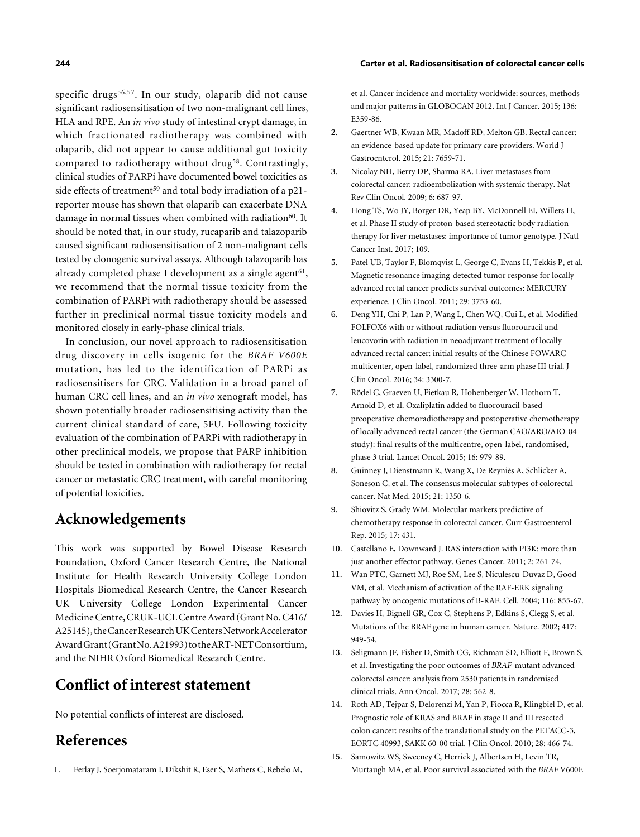#### **244 Carter et al. Radiosensitisation of colorectal cancer cells**

specific drugs<sup>[56](#page-12-12),[57](#page-12-13)</sup>. In our study, olaparib did not cause significant radiosensitisation of two non-malignant cell lines, HLA and RPE. An *in vivo* study of intestinal crypt damage, in which fractionated radiotherapy was combined with olaparib, did not appear to cause additional gut toxicity compared to radiotherapy without drug<sup>[58](#page-12-14)</sup>. Contrastingly, clinical studies of PARPi have documented bowel toxicities as side effects of treatment<sup>[59](#page-12-15)</sup> and total body irradiation of a p21reporter mouse has shown that olaparib can exacerbate DNA damage in normal tissues when combined with radiation<sup>[60](#page-12-16)</sup>. It should be noted that, in our study, rucaparib and talazoparib caused significant radiosensitisation of 2 non-malignant cells tested by clonogenic survival assays. Although talazoparib has already completed phase I development as a single agent $^{61},$  $^{61},$  $^{61},$ we recommend that the normal tissue toxicity from the combination of PARPi with radiotherapy should be assessed further in preclinical normal tissue toxicity models and monitored closely in early-phase clinical trials.

In conclusion, our novel approach to radiosensitisation drug discovery in cells isogenic for the *BRAF V600E* mutation, has led to the identification of PARPi as radiosensitisers for CRC. Validation in a broad panel of human CRC cell lines, and an *in vivo* xenograft model, has shown potentially broader radiosensitising activity than the current clinical standard of care, 5FU. Following toxicity evaluation of the combination of PARPi with radiotherapy in other preclinical models, we propose that PARP inhibition should be tested in combination with radiotherapy for rectal cancer or metastatic CRC treatment, with careful monitoring of potential toxicities.

# **Acknowledgements**

This work was supported by Bowel Disease Research Foundation, Oxford Cancer Research Centre, the National Institute for Health Research University College London Hospitals Biomedical Research Centre, the Cancer Research UK University College London Experimental Cancer Medicine Centre, CRUK-UCL Centre Award (Grant No. C416/ A25145), the Cancer Research UK Centers Network Accelerator Award Grant (Grant No. A21993) to the ART-NET Consortium, and the NIHR Oxford Biomedical Research Centre.

# **Conflict of interest statement**

No potential conflicts of interest are disclosed.

# **References**

1. Ferlay J, Soerjomataram I, Dikshit R, Eser S, Mathers C, Rebelo M,

<span id="page-10-1"></span><span id="page-10-0"></span>et al. Cancer incidence and mortality worldwide: sources, methods and major patterns in GLOBOCAN 2012. [Int J Cancer](http://dx.doi.org/10.1002/ijc.29210). 2015; 136: E359-86.

- Gaertner WB, Kwaan MR, Madoff RD, Melton GB. Rectal cancer: an evidence-based update for primary care providers. [World J](http://dx.doi.org/10.3748/wjg.v21.i25.7659) [Gastroenterol.](http://dx.doi.org/10.3748/wjg.v21.i25.7659) 2015; 21: 7659-71. 2.
- Nicolay NH, Berry DP, Sharma RA. Liver metastases from colorectal cancer: radioembolization with systemic therapy. [Nat](http://dx.doi.org/10.1038/nrclinonc.2009.165) [Rev Clin Oncol.](http://dx.doi.org/10.1038/nrclinonc.2009.165) 2009; 6: 687-97. 3.
- <span id="page-10-2"></span>Hong TS, Wo JY, Borger DR, Yeap BY, McDonnell EI, Willers H, et al. Phase II study of proton-based stereotactic body radiation therapy for liver metastases: importance of tumor genotype. [J Natl](http://dx.doi.org/10.1093/jnci/djx031) [Cancer Inst.](http://dx.doi.org/10.1093/jnci/djx031) 2017; 109. 4.
- Patel UB, Taylor F, Blomqvist L, George C, Evans H, Tekkis P, et al. Magnetic resonance imaging-detected tumor response for locally advanced rectal cancer predicts survival outcomes: MERCURY experience. [J Clin Oncol.](http://dx.doi.org/10.1200/JCO.2011.34.9068) 2011; 29: 3753-60. 5.
- <span id="page-10-3"></span>Deng YH, Chi P, Lan P, Wang L, Chen WQ, Cui L, et al. Modified FOLFOX6 with or without radiation versus fluorouracil and leucovorin with radiation in neoadjuvant treatment of locally advanced rectal cancer: initial results of the Chinese FOWARC multicenter, open-label, randomized three-arm phase III trial. [J](http://dx.doi.org/10.1200/JCO.2016.66.6198) [Clin Oncol](http://dx.doi.org/10.1200/JCO.2016.66.6198). 2016; 34: 3300-7. 6.
- <span id="page-10-4"></span>Rödel C, Graeven U, Fietkau R, Hohenberger W, Hothorn T, Arnold D, et al. Oxaliplatin added to fluorouracil-based preoperative chemoradiotherapy and postoperative chemotherapy of locally advanced rectal cancer (the German CAO/ARO/AIO-04 study): final results of the multicentre, open-label, randomised, phase 3 trial. [Lancet Oncol](http://dx.doi.org/10.1016/S1470-2045(15)00159-X). 2015; 16: 979-89. 7.
- <span id="page-10-5"></span>Guinney J, Dienstmann R, Wang X, De Reyniès A, Schlicker A, Soneson C, et al. The consensus molecular subtypes of colorectal cancer. [Nat Med.](http://dx.doi.org/10.1038/nm.3967) 2015; 21: 1350-6. 8.
- <span id="page-10-7"></span><span id="page-10-6"></span>Shiovitz S, Grady WM. Molecular markers predictive of chemotherapy response in colorectal cancer. Curr Gastroenterol Rep. 2015; 17: 431. 9.
- <span id="page-10-8"></span>10. Castellano E, Downward J. RAS interaction with PI3K: more than just another effector pathway. [Genes Cancer](http://dx.doi.org/10.1177/1947601911408079). 2011; 2: 261-74.
- Wan PTC, Garnett MJ, Roe SM, Lee S, Niculescu-Duvaz D, Good 11. VM, et al. Mechanism of activation of the RAF-ERK signaling pathway by oncogenic mutations of B-RAF. [Cell.](http://dx.doi.org/10.1016/S0092-8674(04)00215-6) 2004; 116: 855-67.
- <span id="page-10-10"></span><span id="page-10-9"></span>Davies H, Bignell GR, Cox C, Stephens P, Edkins S, Clegg S, et al. Mutations of the BRAF gene in human cancer. [Nature.](http://dx.doi.org/10.1038/nature11252) 2002; 417: 949-54. 12.
- 13. Seligmann JF, Fisher D, Smith CG, Richman SD, Elliott F, Brown S, et al. Investigating the poor outcomes of *BRAF*-mutant advanced colorectal cancer: analysis from 2530 patients in randomised clinical trials. Ann Oncol. 2017; 28: 562-8.
- <span id="page-10-11"></span>14. Roth AD, Tejpar S, Delorenzi M, Yan P, Fiocca R, Klingbiel D, et al. Prognostic role of KRAS and BRAF in stage II and III resected colon cancer: results of the translational study on the PETACC-3, EORTC 40993, SAKK 60-00 trial. [J Clin Oncol](http://dx.doi.org/10.1200/JCO.2009.23.3452). 2010; 28: 466-74.
- 15. Samowitz WS, Sweeney C, Herrick J, Albertsen H, Levin TR, Murtaugh MA, et al. Poor survival associated with the *BRAF* V600E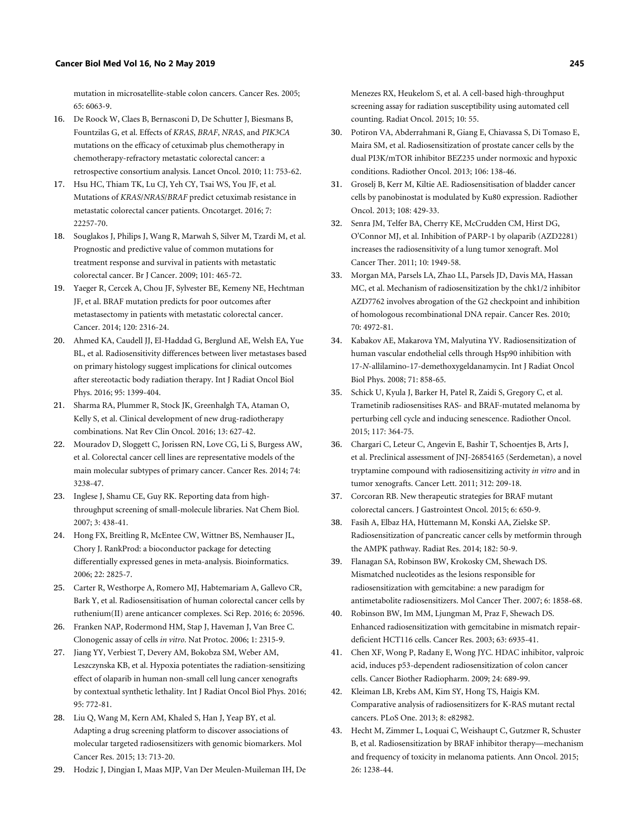mutation in microsatellite-stable colon cancers. [Cancer Res](http://dx.doi.org/10.1158/0008-5472.CAN-05-0404). 2005; 65: 6063-9.

- 16. De Roock W, Claes B, Bernasconi D, De Schutter J, Biesmans B, Fountzilas G, et al. Effects of *KRAS*, *BRAF*, *NRAS*, and *PIK3CA* mutations on the efficacy of cetuximab plus chemotherapy in chemotherapy-refractory metastatic colorectal cancer: a retrospective consortium analysis. [Lancet Oncol](http://dx.doi.org/10.1016/S1470-2045(10)70130-3). 2010; 11: 753-62.
- <span id="page-11-1"></span>17. Hsu HC, Thiam TK, Lu CJ, Yeh CY, Tsai WS, You JF, et al. Mutations of *KRAS*/*NRAS*/*BRAF* predict cetuximab resistance in metastatic colorectal cancer patients. Oncotarget. 2016; 7: 22257-70.
- 18. Souglakos J, Philips J, Wang R, Marwah S, Silver M, Tzardi M, et al. Prognostic and predictive value of common mutations for treatment response and survival in patients with metastatic colorectal cancer. [Br J Cancer.](http://dx.doi.org/10.1038/sj.bjc.6605164) 2009; 101: 465-72.
- <span id="page-11-3"></span><span id="page-11-2"></span>Yaeger R, Cercek A, Chou JF, Sylvester BE, Kemeny NE, Hechtman 19. JF, et al. BRAF mutation predicts for poor outcomes after metastasectomy in patients with metastatic colorectal cancer. [Cancer](http://dx.doi.org/10.1002/cncr.28729). 2014; 120: 2316-24.
- Ahmed KA, Caudell JJ, El-Haddad G, Berglund AE, Welsh EA, Yue 20. BL, et al. Radiosensitivity differences between liver metastases based on primary histology suggest implications for clinical outcomes after stereotactic body radiation therapy. [Int J Radiat Oncol Biol](http://dx.doi.org/10.1016/j.ijrobp.2016.03.050) [Phys.](http://dx.doi.org/10.1016/j.ijrobp.2016.03.050) 2016; 95: 1399-404.
- 21. Sharma RA, Plummer R, Stock JK, Greenhalgh TA, Ataman O, Kelly S, et al. Clinical development of new drug-radiotherapy combinations. [Nat Rev Clin Oncol](http://dx.doi.org/10.1038/nrclinonc.2016.79). 2016; 13: 627-42.
- <span id="page-11-5"></span>22. Mouradov D, Sloggett C, Jorissen RN, Love CG, Li S, Burgess AW, et al. Colorectal cancer cell lines are representative models of the main molecular subtypes of primary cancer. [Cancer Res](http://dx.doi.org/10.1158/0008-5472.CAN-14-0013). 2014; 74: 3238-47.
- 23. Inglese J, Shamu CE, Guy RK. Reporting data from highthroughput screening of small-molecule libraries. [Nat Chem Biol.](http://dx.doi.org/10.1038/nchembio0807-438) 2007; 3: 438-41.
- 24. Hong FX, Breitling R, McEntee CW, Wittner BS, Nemhauser JL, Chory J. RankProd: a bioconductor package for detecting differentially expressed genes in meta-analysis. [Bioinformatics.](http://dx.doi.org/10.1093/bioinformatics/btl476) 2006; 22: 2825-7.
- 25. Carter R, Westhorpe A, Romero MJ, Habtemariam A, Gallevo CR, Bark Y, et al. Radiosensitisation of human colorectal cancer cells by ruthenium(II) arene anticancer complexes. [Sci Rep.](http://dx.doi.org/10.1038/srep20596) 2016; 6: 20596.
- <span id="page-11-10"></span>26. Franken NAP, Rodermond HM, Stap J, Haveman J, Van Bree C. Clonogenic assay of cells *in vitro*. [Nat Protoc.](http://dx.doi.org/10.1038/nprot.2006.339) 2006; 1: 2315-9.
- 27. Jiang YY, Verbiest T, Devery AM, Bokobza SM, Weber AM, Leszczynska KB, et al. Hypoxia potentiates the radiation-sensitizing effect of olaparib in human non-small cell lung cancer xenografts by contextual synthetic lethality. [Int J Radiat Oncol Biol Phys.](http://dx.doi.org/10.1016/j.ijrobp.2016.01.035) 2016; 95: 772-81.
- <span id="page-11-11"></span>28. Liu Q, Wang M, Kern AM, Khaled S, Han J, Yeap BY, et al. Adapting a drug screening platform to discover associations of molecular targeted radiosensitizers with genomic biomarkers. [Mol](http://dx.doi.org/10.1158/1541-7786.MCR-14-0570) [Cancer Res](http://dx.doi.org/10.1158/1541-7786.MCR-14-0570). 2015; 13: 713-20.
- 29. Hodzic J, Dingjan I, Maas MJP, Van Der Meulen-Muileman IH, De

<span id="page-11-13"></span>Menezes RX, Heukelom S, et al. A cell-based high-throughput screening assay for radiation susceptibility using automated cell counting. [Radiat Oncol.](http://dx.doi.org/10.1186/s13014-015-0355-2) 2015; 10: 55.

- <span id="page-11-0"></span>Potiron VA, Abderrahmani R, Giang E, Chiavassa S, Di Tomaso E, 30. Maira SM, et al. Radiosensitization of prostate cancer cells by the dual PI3K/mTOR inhibitor BEZ235 under normoxic and hypoxic conditions. [Radiother Oncol](http://dx.doi.org/10.1016/j.radonc.2012.11.014). 2013; 106: 138-46.
- <span id="page-11-14"></span>Groselj B, Kerr M, Kiltie AE. Radiosensitisation of bladder cancer 31. cells by panobinostat is modulated by Ku80 expression. [Radiother](http://dx.doi.org/10.1016/j.radonc.2013.06.021) [Oncol.](http://dx.doi.org/10.1016/j.radonc.2013.06.021) 2013; 108: 429-33.
- Senra JM, Telfer BA, Cherry KE, McCrudden CM, Hirst DG, 32. O'Connor MJ, et al. Inhibition of PARP-1 by olaparib (AZD2281) increases the radiosensitivity of a lung tumor xenograft. [Mol](http://dx.doi.org/10.1158/1535-7163.MCT-11-0278) [Cancer Ther.](http://dx.doi.org/10.1158/1535-7163.MCT-11-0278) 2011; 10: 1949-58.
- Morgan MA, Parsels LA, Zhao LL, Parsels JD, Davis MA, Hassan 33. MC, et al. Mechanism of radiosensitization by the chk1/2 inhibitor AZD7762 involves abrogation of the G2 checkpoint and inhibition of homologous recombinational DNA repair. [Cancer Res](http://dx.doi.org/10.1158/0008-5472.CAN-09-3573). 2010; 70: 4972-81.
- 34. Kabakov AE, Makarova YM, Malyutina YV. Radiosensitization of human vascular endothelial cells through Hsp90 inhibition with 17-*N*-allilamino-17-demethoxygeldanamycin. [Int J Radiat Oncol](http://dx.doi.org/10.1016/j.ijrobp.2008.02.034) [Biol Phys.](http://dx.doi.org/10.1016/j.ijrobp.2008.02.034) 2008; 71: 858-65.
- <span id="page-11-4"></span>Schick U, Kyula J, Barker H, Patel R, Zaidi S, Gregory C, et al. 35. Trametinib radiosensitises RAS- and BRAF-mutated melanoma by perturbing cell cycle and inducing senescence. [Radiother Oncol](http://dx.doi.org/10.1016/j.radonc.2015.06.026). 2015; 117: 364-75.
- <span id="page-11-6"></span>Chargari C, Leteur C, Angevin E, Bashir T, Schoentjes B, Arts J, 36. et al. Preclinical assessment of JNJ-26854165 (Serdemetan), a novel tryptamine compound with radiosensitizing activity *in vitro* and in tumor xenografts. [Cancer Lett](http://dx.doi.org/10.1016/j.canlet.2011.08.011). 2011; 312: 209-18.
- <span id="page-11-16"></span><span id="page-11-15"></span><span id="page-11-7"></span>Corcoran RB. New therapeutic strategies for BRAF mutant 37. colorectal cancers. J Gastrointest Oncol. 2015; 6: 650-9.
- Fasih A, Elbaz HA, Hüttemann M, Konski AA, Zielske SP. 38. Radiosensitization of pancreatic cancer cells by metformin through the AMPK pathway. [Radiat Res.](http://dx.doi.org/10.1667/RR13568.1) 2014; 182: 50-9.
- <span id="page-11-17"></span><span id="page-11-8"></span>Flanagan SA, Robinson BW, Krokosky CM, Shewach DS. 39. Mismatched nucleotides as the lesions responsible for radiosensitization with gemcitabine: a new paradigm for antimetabolite radiosensitizers. Mol Cancer Ther. 2007; 6: 1858-68.
- <span id="page-11-18"></span><span id="page-11-9"></span>Robinson BW, Im MM, Ljungman M, Praz F, Shewach DS. Enhanced radiosensitization with gemcitabine in mismatch repairdeficient HCT116 cells. Cancer Res. 2003; 63: 6935-41. 40.
- <span id="page-11-19"></span>Chen XF, Wong P, Radany E, Wong JYC. HDAC inhibitor, valproic 41. acid, induces p53-dependent radiosensitization of colon cancer cells. [Cancer Biother Radiopharm.](http://dx.doi.org/10.1089/cbr.2009.0629) 2009; 24: 689-99.
- <span id="page-11-20"></span>42. Kleiman LB, Krebs AM, Kim SY, Hong TS, Haigis KM. Comparative analysis of radiosensitizers for K-RAS mutant rectal cancers. [PLoS One](http://dx.doi.org/10.1371/journal.pone.0082982). 2013; 8: e82982.
- <span id="page-11-22"></span><span id="page-11-21"></span><span id="page-11-12"></span>43. Hecht M, Zimmer L, Loquai C, Weishaupt C, Gutzmer R, Schuster B, et al. Radiosensitization by BRAF inhibitor therapy—mechanism and frequency of toxicity in melanoma patients. [Ann Oncol](http://dx.doi.org/10.1093/annonc/mdv139). 2015; 26: 1238-44.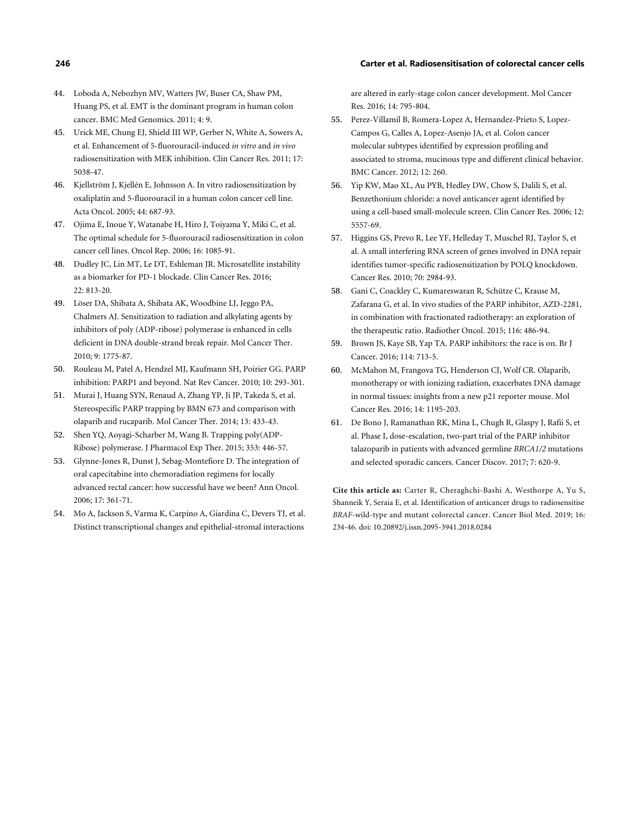#### **246 Carter et al. Radiosensitisation of colorectal cancer cells**

- Loboda A, Nebozhyn MV, Watters JW, Buser CA, Shaw PM, 44. Huang PS, et al. EMT is the dominant program in human colon cancer. [BMC Med Genomics](http://dx.doi.org/10.1186/1755-8794-4-9). 2011; 4: 9.
- <span id="page-12-0"></span>Urick ME, Chung EJ, Shield III WP, Gerber N, White A, Sowers A, 45. et al. Enhancement of 5-fluorouracil-induced *in vitro* and *in vivo* radiosensitization with MEK inhibition. [Clin Cancer Res.](http://dx.doi.org/10.1158/1078-0432.CCR-11-0358) 2011; 17: 5038-47.
- <span id="page-12-2"></span>46. Kjellström J, Kjellén E, Johnsson A. In vitro radiosensitization by oxaliplatin and 5-fluorouracil in a human colon cancer cell line. [Acta Oncol.](http://dx.doi.org/10.1080/02841860500247552) 2005; 44: 687-93.
- Ojima E, Inoue Y, Watanabe H, Hiro J, Toiyama Y, Miki C, et al. 47. The optimal schedule for 5-fluorouracil radiosensitization in colon cancer cell lines. Oncol Rep. 2006; 16: 1085-91.
- <span id="page-12-4"></span><span id="page-12-3"></span>Dudley JC, Lin MT, Le DT, Eshleman JR. Microsatellite instability 48. as a biomarker for PD-1 blockade. [Clin Cancer Res](http://dx.doi.org/10.1158/1078-0432.CCR-15-1678). 2016; 22: 813-20.
- Löser DA, Shibata A, Shibata AK, Woodbine LJ, Jeggo PA, 49. Chalmers AJ. Sensitization to radiation and alkylating agents by inhibitors of poly (ADP-ribose) polymerase is enhanced in cells deficient in DNA double-strand break repair. [Mol Cancer Ther](http://dx.doi.org/10.1158/1535-7163.MCT-09-1027). 2010; 9: 1775-87.
- <span id="page-12-6"></span>Rouleau M, Patel A, Hendzel MJ, Kaufmann SH, Poirier GG. PARP inhibition: PARP1 and beyond. [Nat Rev Cancer](http://dx.doi.org/10.1038/nrc2812). 2010; 10: 293-301. 50.
- Murai J, Huang SYN, Renaud A, Zhang YP, Ji JP, Takeda S, et al. Stereospecific PARP trapping by BMN 673 and comparison with olaparib and rucaparib. [Mol Cancer Ther.](http://dx.doi.org/10.1158/1535-7163.MCT-13-0803) 2014; 13: 433-43. 51.
- <span id="page-12-7"></span>Shen YQ, Aoyagi-Sc[harber M, Wang B. Tra](http://dx.doi.org/10.1124/jpet.114.222448)pping poly(ADP-Ribose) polymerase. [J Pharmacol Exp Ther.](http://dx.doi.org/10.1124/jpet.114.222448) 2015; 353: 446-57. 52.
- <span id="page-12-8"></span>Glynne-Jones R, Dunst J, Sebag-Montefiore D. The integration of 53. oral capecitabine into chemoradiation regimens for lo[cally](http://dx.doi.org/10.1093/annonc/mdj052) advanced rectal cancer: how successful have we been? [Ann Oncol](http://dx.doi.org/10.1093/annonc/mdj052). 2006; 17: 361-71.
- Mo A, Jackson S, Varma K, Carpino A, Giardina C, Devers TJ, et al. Distinct transcriptional changes and epithelial-stro[mal interactio](http://dx.doi.org/10.1158/1541-7786.MCR-16-0156)ns 54.

<span id="page-12-10"></span>are altered in early-stage colon cancer development. [Mol Can](http://dx.doi.org/10.1158/1541-7786.MCR-16-0156)[cer](http://dx.doi.org/10.1038/bjc.2016.67) [Res. 20](http://dx.doi.org/10.1038/bjc.2016.67)16; 14: 795-804.

- Perez-Villamil B, Romera-Lopez A, Hernandez-Prieto S, Lopez-55. Campos G, Calles A, Lopez-Asenjo JA, et al. Colon cancer molecular subtypes identified by expression profiling and [associated t](http://dx.doi.org/10.1158/1541-7786.MCR-16-0108)o stroma, mucinous type and different clinical behavior. [BMC Cancer](http://dx.doi.org/10.1186/1471-2407-12-260). 2012; 12: 260.
- <span id="page-12-12"></span><span id="page-12-11"></span><span id="page-12-1"></span>56. Yip KW, Mao XL, Au PYB, Hedley DW, Chow S, Dalili S, et al. Benzethonium chloride: a novel anticancer agent identified by using a cell-based small-mole[cule screen.](http://dx.doi.org/10.1158/2159-8290.CD-16-1250) [Clin Cancer Res.](http://dx.doi.org/10.1158/1078-0432.CCR-06-0536) 2006; 12: 5557-69.
- <span id="page-12-13"></span>57. Higgins GS, Prevo R, Lee YF, Helleday T, Muschel RJ, Taylor S, et al. A small interfering RNA screen of genes involved in DNA repair identifies tumor-specific radiosensitization by POLQ knockdown. [Cancer Res](http://dx.doi.org/10.1158/0008-5472.CAN-09-4040). 2010; 70: 2984-93.
- Gani C, Coackley C, Kumareswaran R, Schütze C, Krause M, Zafarana G, et al. In vivo studies of the PARP inhibitor, AZD-2281, in combination with fractionated radiotherapy: an exploration of the therapeutic ratio. [Radiother Oncol](http://dx.doi.org/10.1016/j.radonc.2015.08.003). 2015; 116: 486-94. 58.
- <span id="page-12-15"></span><span id="page-12-14"></span><span id="page-12-5"></span>Brown JS, Kaye SB, Yap TA. PARP inhibitors: the race is on. [Br J](http://dx.doi.org/10.1038/bjc.2016.67) [Cancer](http://dx.doi.org/10.1038/bjc.2016.67). 2016; 114: 713-5. 59.
- McMahon M, Frangova TG, Henderson CJ, Wolf CR. Olaparib, monotherapy or with ionizing radiation, exacerbates DNA [dama](http://dx.doi.org/10.1158/1541-7786.MCR-16-0108)ge [in normal t](http://dx.doi.org/10.1158/1541-7786.MCR-16-0108)issues: insights from a new p21 reporter mouse. [Mol](http://dx.doi.org/10.1158/1541-7786.MCR-16-0108) [Cancer Res](http://dx.doi.org/10.1158/1541-7786.MCR-16-0108). 2016; 14: 1195-203. 60.
- <span id="page-12-16"></span>De Bono J, Ramanathan RK, Mina L, Chugh R, Glaspy J, Rafii S, et 61. al. Phase I, dose-escalation, two-part trial of the PARP inhibitor talazoparib in patients with ad[vanced germlin](http://dx.doi.org/10.1158/2159-8290.CD-16-1250)e *BRCA1/2* mutations and selected sporadic cancers. [Cancer Discov.](http://dx.doi.org/10.1158/2159-8290.CD-16-1250) 2017; 7: 620-9.

<span id="page-12-17"></span><span id="page-12-9"></span>**Cite this article as:** Carter R, Cheraghchi-Bashi A, Westhorpe A, Yu S, Shanneik Y, Seraia E, et al. Identification of anticancer drugs to radiosensitise *BRAF*-wild-type and mutant colorectal cancer. Cancer Biol Med. 2019; 16: 234-46. doi: 10.20892/j.issn.2095-3941.2018.0284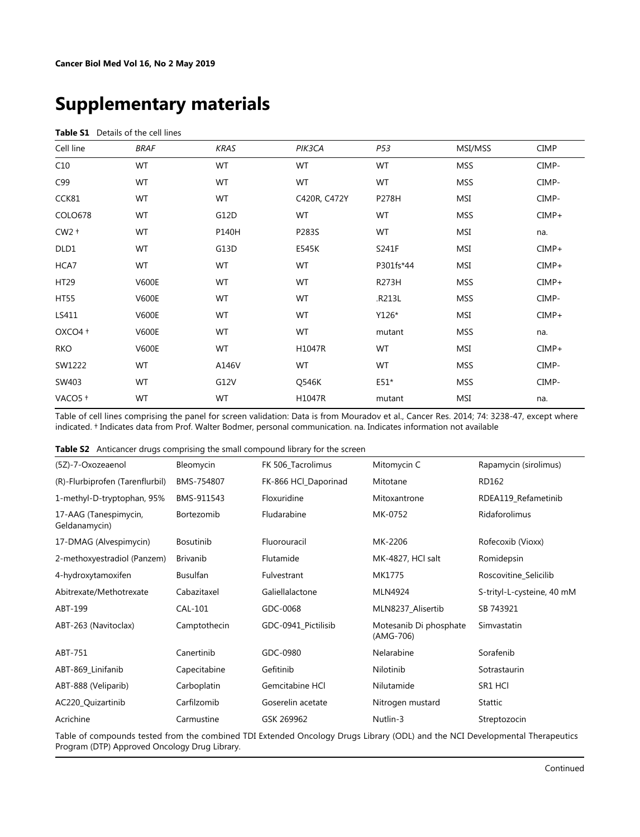# **Supplementary materials**

#### **Table S1** Details of the cell lines

| Cell line   | <b>BRAF</b>  | <b>KRAS</b> | PIK3CA       | P53       | MSI/MSS    | <b>CIMP</b> |
|-------------|--------------|-------------|--------------|-----------|------------|-------------|
| C10         | WT           | WT          | WT           | WT        | <b>MSS</b> | CIMP-       |
| C99         | WT           | WT          | WT           | WT        | <b>MSS</b> | CIMP-       |
| CCK81       | WT           | WT          | C420R, C472Y | P278H     | <b>MSI</b> | CIMP-       |
| COLO678     | WT           | G12D        | WT           | WT        | <b>MSS</b> | $CIMP+$     |
| $CW2 +$     | WT           | P140H       | P283S        | WT        | MSI        | na.         |
| DLD1        | WT           | G13D        | E545K        | S241F     | MSI        | $CIMP+$     |
| HCA7        | WT           | WT          | WT           | P301fs*44 | MSI        | $CIMP+$     |
| HT29        | <b>V600E</b> | WT          | WT           | R273H     | <b>MSS</b> | $CIMP+$     |
| <b>HT55</b> | <b>V600E</b> | WT          | WT           | .R213L    | <b>MSS</b> | CIMP-       |
| LS411       | <b>V600E</b> | WT          | WT           | Y126*     | MSI        | $CIMP+$     |
| OXCO4 +     | <b>V600E</b> | WT          | WT           | mutant    | <b>MSS</b> | na.         |
| <b>RKO</b>  | <b>V600E</b> | WT          | H1047R       | WT        | MSI        | $CIMP+$     |
| SW1222      | WT           | A146V       | WT           | WT        | <b>MSS</b> | CIMP-       |
| SW403       | WT           | G12V        | Q546K        | $E51*$    | <b>MSS</b> | CIMP-       |
| VACO5+      | WT           | WT          | H1047R       | mutant    | MSI        | na.         |

Table of cell lines comprising the panel for screen validation: Data is from Mouradov et al., Cancer Res. 2014; 74: 3238-47, except where indicated. † Indicates data from Prof. Walter Bodmer, personal communication. na. Indicates information not available

| (5Z)-7-Oxozeaenol                      | Bleomycin        | FK 506_Tacrolimus    | Mitomycin C                         | Rapamycin (sirolimus)      |
|----------------------------------------|------------------|----------------------|-------------------------------------|----------------------------|
| (R)-Flurbiprofen (Tarenflurbil)        | BMS-754807       | FK-866 HCl_Daporinad | Mitotane                            | RD162                      |
| 1-methyl-D-tryptophan, 95%             | BMS-911543       | Floxuridine          | Mitoxantrone                        | RDEA119_Refametinib        |
| 17-AAG (Tanespimycin,<br>Geldanamycin) | Bortezomib       | Fludarabine          | MK-0752                             | Ridaforolimus              |
| 17-DMAG (Alvespimycin)                 | <b>Bosutinib</b> | Fluorouracil         | MK-2206                             | Rofecoxib (Vioxx)          |
| 2-methoxyestradiol (Panzem)            | Brivanib         | Flutamide            | MK-4827, HCl salt                   | Romidepsin                 |
| 4-hydroxytamoxifen                     | <b>Busulfan</b>  | Fulvestrant          | MK1775                              | Roscovitine Selicilib      |
| Abitrexate/Methotrexate                | Cabazitaxel      | Galiellalactone      | MLN4924                             | S-trityl-L-cysteine, 40 mM |
| ABT-199                                | CAL-101          | GDC-0068             | MLN8237 Alisertib                   | SB 743921                  |
| ABT-263 (Navitoclax)                   | Camptothecin     | GDC-0941_Pictilisib  | Motesanib Di phosphate<br>(AMG-706) | Simvastatin                |
| ABT-751                                | Canertinib       | GDC-0980             | Nelarabine                          | Sorafenib                  |
| ABT-869_Linifanib                      | Capecitabine     | Gefitinib            | Nilotinib                           | Sotrastaurin               |
| ABT-888 (Veliparib)                    | Carboplatin      | Gemcitabine HCI      | Nilutamide                          | SR1 HCI                    |
| AC220_Quizartinib                      | Carfilzomib      | Goserelin acetate    | Nitrogen mustard                    | Stattic                    |
| Acrichine                              | Carmustine       | GSK 269962           | Nutlin-3                            | Streptozocin               |

Table of compounds tested from the combined TDI Extended Oncology Drugs Library (ODL) and the NCI Developmental Therapeutics Program (DTP) Approved Oncology Drug Library.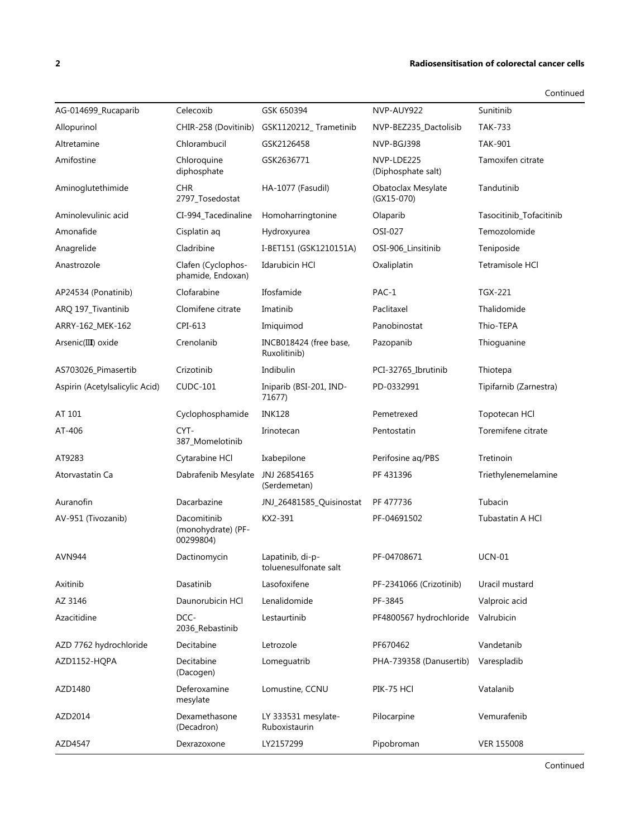#### **2 Radiosensitisation of colorectal cancer cells**

| AG-014699_Rucaparib            | Celecoxib                                      | GSK 650394                                | NVP-AUY922                       | Sunitinib               |
|--------------------------------|------------------------------------------------|-------------------------------------------|----------------------------------|-------------------------|
| Allopurinol                    | CHIR-258 (Dovitinib)                           | GSK1120212_Trametinib                     | NVP-BEZ235_Dactolisib            | <b>TAK-733</b>          |
| Altretamine                    | Chlorambucil                                   | GSK2126458                                | NVP-BGJ398                       | <b>TAK-901</b>          |
| Amifostine                     | Chloroquine<br>diphosphate                     | GSK2636771                                | NVP-LDE225<br>(Diphosphate salt) | Tamoxifen citrate       |
| Aminoglutethimide              | <b>CHR</b><br>2797_Tosedostat                  | HA-1077 (Fasudil)                         | Obatoclax Mesylate<br>(GX15-070) | Tandutinib              |
| Aminolevulinic acid            | CI-994_Tacedinaline                            | Homoharringtonine                         | Olaparib                         | Tasocitinib_Tofacitinib |
| Amonafide                      | Cisplatin aq                                   | Hydroxyurea                               | OSI-027                          | Temozolomide            |
| Anagrelide                     | Cladribine                                     | I-BET151 (GSK1210151A)                    | OSI-906_Linsitinib               | Teniposide              |
| Anastrozole                    | Clafen (Cyclophos-<br>phamide, Endoxan)        | <b>Idarubicin HCI</b>                     | Oxaliplatin                      | Tetramisole HCl         |
| AP24534 (Ponatinib)            | Clofarabine                                    | Ifosfamide                                | PAC-1                            | <b>TGX-221</b>          |
| ARQ 197_Tivantinib             | Clomifene citrate                              | Imatinib                                  | Paclitaxel                       | Thalidomide             |
| ARRY-162_MEK-162               | CPI-613                                        | Imiquimod                                 | Panobinostat                     | Thio-TEPA               |
| Arsenic(III) oxide             | Crenolanib                                     | INCB018424 (free base,<br>Ruxolitinib)    | Pazopanib                        | Thioguanine             |
| AS703026_Pimasertib            | Crizotinib                                     | Indibulin                                 | PCI-32765_Ibrutinib              | Thiotepa                |
| Aspirin (Acetylsalicylic Acid) | <b>CUDC-101</b>                                | Iniparib (BSI-201, IND-<br>71677)         | PD-0332991                       | Tipifarnib (Zarnestra)  |
| AT 101                         | Cyclophosphamide                               | <b>INK128</b>                             | Pemetrexed                       | Topotecan HCl           |
| AT-406                         | CYT-<br>387_Momelotinib                        | Irinotecan                                | Pentostatin                      | Toremifene citrate      |
| AT9283                         | Cytarabine HCl                                 | Ixabepilone                               | Perifosine aq/PBS                | Tretinoin               |
| Atorvastatin Ca                | Dabrafenib Mesylate                            | JNJ 26854165<br>(Serdemetan)              | PF 431396                        | Triethylenemelamine     |
| Auranofin                      | Dacarbazine                                    | JNJ_26481585_Quisinostat                  | PF 477736                        | Tubacin                 |
| AV-951 (Tivozanib)             | Dacomitinib<br>(monohydrate) (PF-<br>00299804) | KX2-391                                   | PF-04691502                      | Tubastatin A HCl        |
| <b>AVN944</b>                  | Dactinomycin                                   | Lapatinib, di-p-<br>toluenesulfonate salt | PF-04708671                      | <b>UCN-01</b>           |
| Axitinib                       | Dasatinib                                      | Lasofoxifene                              | PF-2341066 (Crizotinib)          | Uracil mustard          |
| AZ 3146                        | Daunorubicin HCI                               | Lenalidomide                              | PF-3845                          | Valproic acid           |
| Azacitidine                    | DCC-<br>2036_Rebastinib                        | Lestaurtinib                              | PF4800567 hydrochloride          | Valrubicin              |
| AZD 7762 hydrochloride         | Decitabine                                     | Letrozole                                 | PF670462                         | Vandetanib              |
| AZD1152-HQPA                   | Decitabine<br>(Dacogen)                        | Lomeguatrib                               | PHA-739358 (Danusertib)          | Varespladib             |
| AZD1480                        | Deferoxamine<br>mesylate                       | Lomustine, CCNU                           | PIK-75 HCI                       | Vatalanib               |
| AZD2014                        | Dexamethasone<br>(Decadron)                    | LY 333531 mesylate-<br>Ruboxistaurin      | Pilocarpine                      | Vemurafenib             |
| AZD4547                        | Dexrazoxone                                    | LY2157299                                 | Pipobroman                       | VER 155008              |
|                                |                                                |                                           |                                  |                         |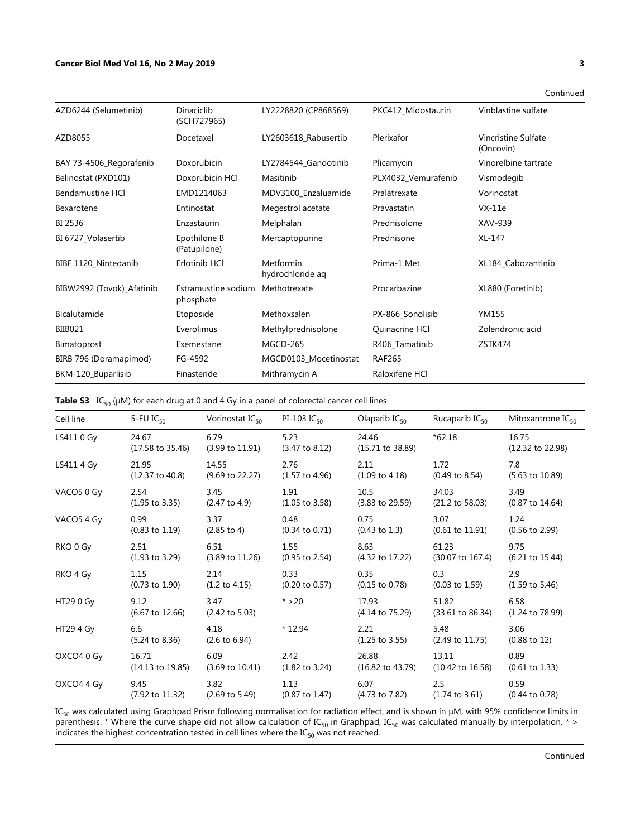#### **Cancer Biol Med Vol 16, No 2 May 2019 3**

| AZD6244 (Selumetinib)     | Dinaciclib<br>(SCH727965)        | LY2228820 (CP868569)          | PKC412_Midostaurin  | Vinblastine sulfate                     |
|---------------------------|----------------------------------|-------------------------------|---------------------|-----------------------------------------|
| AZD8055                   | Docetaxel                        | LY2603618 Rabusertib          | Plerixafor          | <b>Vincristine Sulfate</b><br>(Oncovin) |
| BAY 73-4506_Regorafenib   | Doxorubicin                      | LY2784544_Gandotinib          | Plicamycin          | Vinorelbine tartrate                    |
| Belinostat (PXD101)       | Doxorubicin HCI                  | Masitinib                     | PLX4032_Vemurafenib | Vismodegib                              |
| <b>Bendamustine HCI</b>   | EMD1214063                       | MDV3100_Enzaluamide           | Pralatrexate        | Vorinostat                              |
| Bexarotene                | Entinostat                       | Megestrol acetate             | Pravastatin         | $VX-11e$                                |
| BI 2536                   | Enzastaurin                      | Melphalan                     | Prednisolone        | XAV-939                                 |
| BI 6727_Volasertib        | Epothilone B<br>(Patupilone)     | Mercaptopurine                | Prednisone          | XL-147                                  |
| BIBF 1120_Nintedanib      | Erlotinib HCl                    | Metformin<br>hydrochloride ag | Prima-1 Met         | XL184 Cabozantinib                      |
| BIBW2992 (Tovok)_Afatinib | Estramustine sodium<br>phosphate | Methotrexate                  | Procarbazine        | XL880 (Foretinib)                       |
| Bicalutamide              | Etoposide                        | Methoxsalen                   | PX-866_Sonolisib    | YM155                                   |
| BIIB021                   | Everolimus                       | Methylprednisolone            | Quinacrine HCI      | Zolendronic acid                        |
| Bimatoprost               | Exemestane                       | MGCD-265                      | R406_Tamatinib      | ZSTK474                                 |
| BIRB 796 (Doramapimod)    | FG-4592                          | MGCD0103_Mocetinostat         | <b>RAF265</b>       |                                         |
| BKM-120_Buparlisib        | Finasteride                      | Mithramycin A                 | Raloxifene HCI      |                                         |

**Table S3** IC<sub>50</sub> (μM) for each drug at 0 and 4 Gy in a panel of colorectal cancer cell lines

| Cell line  | 5-FU $IC_{50}$                       | Vorinostat I $C_{50}$              | $PI-103$ $IC_{50}$                | Olaparib $IC_{50}$                   | Rucaparib $IC_{50}$                  | Mitoxantrone $IC_{50}$               |
|------------|--------------------------------------|------------------------------------|-----------------------------------|--------------------------------------|--------------------------------------|--------------------------------------|
| LS411 0 Gy | 24.67<br>$(17.58 \text{ to } 35.46)$ | 6.79<br>$(3.99 \text{ to } 11.91)$ | 5.23<br>$(3.47 \text{ to } 8.12)$ | 24.46<br>$(15.71 \text{ to } 38.89)$ | $*62.18$                             | 16.75<br>$(12.32 \text{ to } 22.98)$ |
| LS411 4 Gy | 21.95                                | 14.55                              | 2.76                              | 2.11                                 | 1.72                                 | 7.8                                  |
|            | $(12.37 \text{ to } 40.8)$           | $(9.69 \text{ to } 22.27)$         | $(1.57 \text{ to } 4.96)$         | $(1.09 \text{ to } 4.18)$            | $(0.49 \text{ to } 8.54)$            | $(5.63 \text{ to } 10.89)$           |
| VACO5 0 Gy | 2.54                                 | 3.45                               | 1.91                              | 10.5                                 | 34.03                                | 3.49                                 |
|            | $(1.95 \text{ to } 3.35)$            | (2.47 to 4.9)                      | $(1.05 \text{ to } 3.58)$         | $(3.83 \text{ to } 29.59)$           | $(21.2 \text{ to } 58.03)$           | $(0.87 \text{ to } 14.64)$           |
| VACO5 4 Gy | 0.99                                 | 3.37                               | 0.48                              | 0.75                                 | 3.07                                 | 1.24                                 |
|            | $(0.83 \text{ to } 1.19)$            | $(2.85 \text{ to } 4)$             | $(0.34 \text{ to } 0.71)$         | $(0.43 \text{ to } 1.3)$             | $(0.61 \text{ to } 11.91)$           | $(0.56 \text{ to } 2.99)$            |
| RKO 0 Gy   | 2.51                                 | 6.51                               | 1.55                              | 8.63                                 | 61.23                                | 9.75                                 |
|            | $(1.93 \text{ to } 3.29)$            | $(3.89 \text{ to } 11.26)$         | (0.95 to 2.54)                    | (4.32 to 17.22)                      | $(30.07 \text{ to } 167.4)$          | $(6.21 \text{ to } 15.44)$           |
| RKO 4 Gy   | 1.15                                 | 2.14                               | 0.33                              | 0.35                                 | 0.3                                  | 2.9                                  |
|            | $(0.73 \text{ to } 1.90)$            | $(1.2 \text{ to } 4.15)$           | $(0.20 \text{ to } 0.57)$         | $(0.15 \text{ to } 0.78)$            | $(0.03 \text{ to } 1.59)$            | $(1.59 \text{ to } 5.46)$            |
| HT29 0 Gy  | 9.12<br>$(6.67 \text{ to } 12.66)$   | 3.47<br>$(2.42 \text{ to } 5.03)$  | $* > 20$                          | 17.93<br>$(4.14 \text{ to } 75.29)$  | 51.82<br>$(33.61 \text{ to } 86.34)$ | 6.58<br>$(1.24 \text{ to } 78.99)$   |
| HT29 4 Gy  | 6.6<br>$(5.24 \text{ to } 8.36)$     | 4.18<br>$(2.6 \text{ to } 6.94)$   | $*12.94$                          | 2.21<br>$(1.25 \text{ to } 3.55)$    | 5.48<br>$(2.49 \text{ to } 11.75)$   | 3.06<br>$(0.88 \text{ to } 12)$      |
| OXCO4 0 Gy | 16.71                                | 6.09                               | 2.42                              | 26.88                                | 13.11                                | 0.89                                 |
|            | $(14.13 \text{ to } 19.85)$          | $(3.69 \text{ to } 10.41)$         | $(1.82 \text{ to } 3.24)$         | (16.82 to 43.79)                     | (10.42 to 16.58)                     | $(0.61 \text{ to } 1.33)$            |
| OXCO4 4 Gy | 9.45                                 | 3.82                               | 1.13                              | 6.07                                 | 2.5                                  | 0.59                                 |
|            | (7.92 to 11.32)                      | $(2.69 \text{ to } 5.49)$          | $(0.87 \text{ to } 1.47)$         | (4.73 to 7.82)                       | $(1.74 \text{ to } 3.61)$            | $(0.44 \text{ to } 0.78)$            |

ΙC<sub>50</sub> was calculated using Graphpad Prism following normalisation for radiation effect, and is shown in μM, with 95% confidence limits in parenthesis. \* Where the curve shape did not allow calculation of IC<sub>50</sub> in Graphpad, IC<sub>50</sub> was calculated manually by interpolation. \* > indicates the highest concentration tested in cell lines where the IC $_{\rm 50}$  was not reached.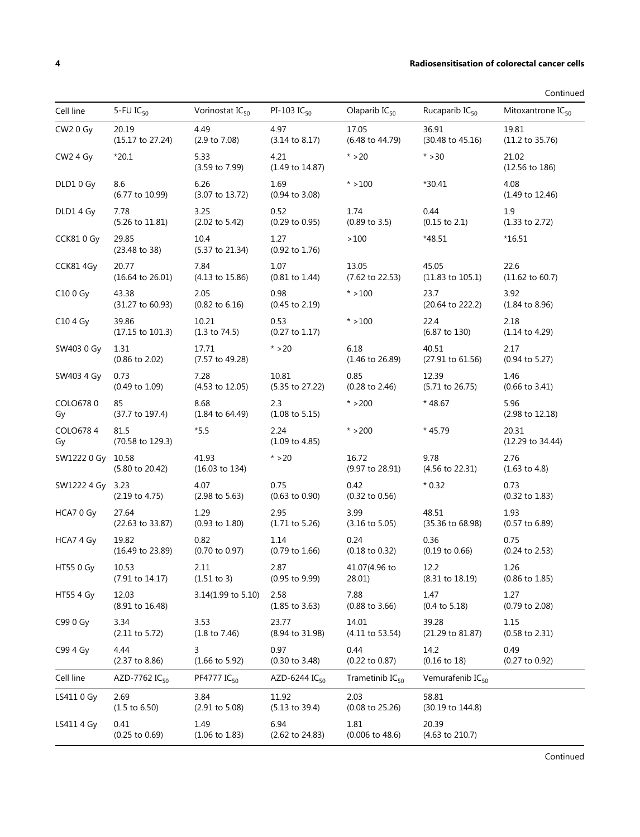#### **4 Radiosensitisation of colorectal cancer cells**

Continued

| Cell line            | 5-FU $IC_{50}$                       | Vorinostat $IC_{50}$               | PI-103 IC $_{50}$                  | Olaparib $IC_{50}$                  | Rucaparib $IC_{50}$                  | Mitoxantrone IC <sub>50</sub>      |
|----------------------|--------------------------------------|------------------------------------|------------------------------------|-------------------------------------|--------------------------------------|------------------------------------|
| CW <sub>2</sub> 0 Gy | 20.19<br>(15.17 to 27.24)            | 4.49<br>(2.9 to 7.08)              | 4.97<br>$(3.14 \text{ to } 8.17)$  | 17.05<br>(6.48 to 44.79)            | 36.91<br>(30.48 to 45.16)            | 19.81<br>(11.2 to 35.76)           |
| CW <sub>2</sub> 4 Gy | $*20.1$                              | 5.33<br>(3.59 to 7.99)             | 4.21<br>(1.49 to 14.87)            | $* > 20$                            | $* > 30$                             | 21.02<br>(12.56 to 186)            |
| DLD1 0 Gy            | 8.6<br>$(6.77 \text{ to } 10.99)$    | 6.26<br>(3.07 to 13.72)            | 1.69<br>$(0.94 \text{ to } 3.08)$  | $* > 100$                           | $*30.41$                             | 4.08<br>$(1.49 \text{ to } 12.46)$ |
| DLD1 4 Gy            | 7.78<br>(5.26 to 11.81)              | 3.25<br>$(2.02 \text{ to } 5.42)$  | 0.52<br>$(0.29 \text{ to } 0.95)$  | 1.74<br>$(0.89 \text{ to } 3.5)$    | 0.44<br>$(0.15 \text{ to } 2.1)$     | 1.9<br>$(1.33 \text{ to } 2.72)$   |
| CCK810 Gy            | 29.85<br>$(23.48 \text{ to } 38)$    | 10.4<br>(5.37 to 21.34)            | 1.27<br>$(0.92 \text{ to } 1.76)$  | >100                                | $*48.51$                             | *16.51                             |
| CCK81 4Gy            | 20.77<br>(16.64 to 26.01)            | 7.84<br>$(4.13 \text{ to } 15.86)$ | 1.07<br>$(0.81$ to 1.44)           | 13.05<br>$(7.62 \text{ to } 22.53)$ | 45.05<br>$(11.83 \text{ to } 105.1)$ | 22.6<br>$(11.62 \text{ to } 60.7)$ |
| C10 0 Gy             | 43.38<br>(31.27 to 60.93)            | 2.05<br>$(0.82 \text{ to } 6.16)$  | 0.98<br>$(0.45 \text{ to } 2.19)$  | $* > 100$                           | 23.7<br>(20.64 to 222.2)             | 3.92<br>$(1.84 \text{ to } 8.96)$  |
| C104 Gy              | 39.86<br>$(17.15 \text{ to } 101.3)$ | 10.21<br>$(1.3 \text{ to } 74.5)$  | 0.53<br>$(0.27 \text{ to } 1.17)$  | $* > 100$                           | 22.4<br>(6.87 to 130)                | 2.18<br>$(1.14 \text{ to } 4.29)$  |
| SW403 0 Gy           | 1.31<br>$(0.86 \text{ to } 2.02)$    | 17.71<br>(7.57 to 49.28)           | $* > 20$                           | 6.18<br>$(1.46 \text{ to } 26.89)$  | 40.51<br>(27.91 to 61.56)            | 2.17<br>$(0.94 \text{ to } 5.27)$  |
| SW403 4 Gy           | 0.73<br>$(0.49 \text{ to } 1.09)$    | 7.28<br>$(4.53 \text{ to } 12.05)$ | 10.81<br>(5.35 to 27.22)           | 0.85<br>$(0.28 \text{ to } 2.46)$   | 12.39<br>$(5.71 \text{ to } 26.75)$  | 1.46<br>$(0.66 \text{ to } 3.41)$  |
| COLO6780<br>Gy       | 85<br>(37.7 to 197.4)                | 8.68<br>$(1.84 \text{ to } 64.49)$ | 2.3<br>$(1.08 \text{ to } 5.15)$   | $* > 200$                           | $*48.67$                             | 5.96<br>(2.98 to 12.18)            |
| COLO6784<br>Gy       | 81.5<br>(70.58 to 129.3)             | $*5.5$                             | 2.24<br>$(1.09 \text{ to } 4.85)$  | $* > 200$                           | $*45.79$                             | 20.31<br>(12.29 to 34.44)          |
| SW1222 0 Gy 10.58    | (5.80 to 20.42)                      | 41.93<br>(16.03 to 134)            | $* > 20$                           | 16.72<br>(9.97 to 28.91)            | 9.78<br>(4.56 to 22.31)              | 2.76<br>$(1.63 \text{ to } 4.8)$   |
| SW1222 4 Gy 3.23     | $(2.19 \text{ to } 4.75)$            | 4.07<br>$(2.98 \text{ to } 5.63)$  | 0.75<br>$(0.63 \text{ to } 0.90)$  | 0.42<br>$(0.32 \text{ to } 0.56)$   | $*0.32$                              | 0.73<br>$(0.32 \text{ to } 1.83)$  |
| HCA7 0 Gy            | 27.64<br>(22.63 to 33.87)            | 1.29<br>$(0.93 \text{ to } 1.80)$  | 2.95<br>$(1.71 \text{ to } 5.26)$  | 3.99<br>$(3.16 \text{ to } 5.05)$   | 48.51<br>(35.36 to 68.98)            | 1.93<br>$(0.57 \text{ to } 6.89)$  |
| HCA7 4 Gy            | 19.82<br>(16.49 to 23.89)            | 0.82<br>$(0.70 \text{ to } 0.97)$  | 1.14<br>$(0.79 \text{ to } 1.66)$  | 0.24<br>$(0.18 \text{ to } 0.32)$   | 0.36<br>$(0.19 \text{ to } 0.66)$    | 0.75<br>$(0.24 \text{ to } 2.53)$  |
| HT55 0 Gv            | 10.53<br>(7.91 to 14.17)             | 2.11<br>(1.51 to 3)                | 2.87<br>(0.95 to 9.99)             | 41.07(4.96 to<br>28.01)             | 12.2<br>(8.31 to 18.19)              | 1.26<br>(0.86 to 1.85)             |
| <b>HT55 4 Gy</b>     | 12.03<br>(8.91 to 16.48)             | 3.14(1.99 to 5.10)                 | 2.58<br>$(1.85 \text{ to } 3.63)$  | 7.88<br>$(0.88 \text{ to } 3.66)$   | 1.47<br>$(0.4 \text{ to } 5.18)$     | 1.27<br>$(0.79 \text{ to } 2.08)$  |
| C99 0 Gy             | 3.34<br>$(2.11$ to 5.72)             | 3.53<br>$(1.8 \text{ to } 7.46)$   | 23.77<br>(8.94 to 31.98)           | 14.01<br>(4.11 to 53.54)            | 39.28<br>(21.29 to 81.87)            | 1.15<br>$(0.58 \text{ to } 2.31)$  |
| C99 4 Gy             | 4.44<br>$(2.37 \text{ to } 8.86)$    | 3<br>$(1.66 \text{ to } 5.92)$     | 0.97<br>$(0.30 \text{ to } 3.48)$  | 0.44<br>$(0.22 \text{ to } 0.87)$   | 14.2<br>$(0.16 \text{ to } 18)$      | 0.49<br>$(0.27$ to $0.92)$         |
| Cell line            | AZD-7762 IC <sub>50</sub>            | PF4777 IC <sub>50</sub>            | AZD-6244 IC <sub>50</sub>          | Trametinib $IC_{50}$                | Vemurafenib IC <sub>50</sub>         |                                    |
| LS411 0 Gy           | 2.69<br>$(1.5 \text{ to } 6.50)$     | 3.84<br>$(2.91$ to 5.08)           | 11.92<br>$(5.13 \text{ to } 39.4)$ | 2.03<br>$(0.08 \text{ to } 25.26)$  | 58.81<br>(30.19 to 144.8)            |                                    |
| LS411 4 Gy           | 0.41<br>$(0.25 \text{ to } 0.69)$    | 1.49<br>$(1.06 \text{ to } 1.83)$  | 6.94<br>(2.62 to 24.83)            | 1.81<br>$(0.006 \text{ to } 48.6)$  | 20.39<br>(4.63 to 210.7)             |                                    |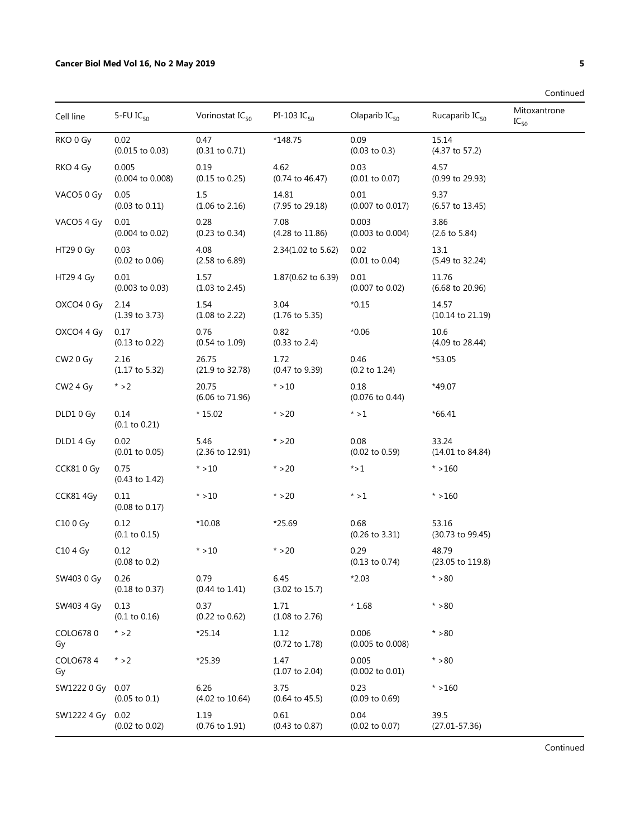| Cell line              | 5-FU $IC_{50}$                     | Vorinostat $IC_{50}$               | PI-103 $IC_{50}$                   | Olaparib $IC_{50}$                  | Rucaparib IC <sub>50</sub>           | Mitoxantrone<br>$IC_{50}$ |
|------------------------|------------------------------------|------------------------------------|------------------------------------|-------------------------------------|--------------------------------------|---------------------------|
| RKO 0 Gy               | 0.02<br>$(0.015 \text{ to } 0.03)$ | 0.47<br>$(0.31$ to $0.71)$         | *148.75                            | 0.09<br>$(0.03 \text{ to } 0.3)$    | 15.14<br>(4.37 to 57.2)              |                           |
| RKO 4 Gy               | 0.005<br>(0.004 to 0.008)          | 0.19<br>$(0.15 \text{ to } 0.25)$  | 4.62<br>$(0.74 \text{ to } 46.47)$ | 0.03<br>$(0.01$ to $0.07)$          | 4.57<br>(0.99 to 29.93)              |                           |
| VACO5 0 Gy             | 0.05<br>$(0.03 \text{ to } 0.11)$  | 1.5<br>$(1.06 \text{ to } 2.16)$   | 14.81<br>(7.95 to 29.18)           | 0.01<br>(0.007 to 0.017)            | 9.37<br>$(6.57 \text{ to } 13.45)$   |                           |
| VACO <sub>5</sub> 4 Gy | 0.01<br>$(0.004 \text{ to } 0.02)$ | 0.28<br>$(0.23$ to $0.34)$         | 7.08<br>(4.28 to 11.86)            | 0.003<br>$(0.003$ to $0.004)$       | 3.86<br>$(2.6 \text{ to } 5.84)$     |                           |
| HT290Gy                | 0.03<br>$(0.02 \text{ to } 0.06)$  | 4.08<br>$(2.58 \text{ to } 6.89)$  | 2.34(1.02 to 5.62)                 | 0.02<br>$(0.01$ to $0.04)$          | 13.1<br>(5.49 to 32.24)              |                           |
| HT29 4 Gy              | 0.01<br>$(0.003 \text{ to } 0.03)$ | 1.57<br>$(1.03 \text{ to } 2.45)$  | 1.87(0.62 to 6.39)                 | 0.01<br>$(0.007 \text{ to } 0.02)$  | 11.76<br>$(6.68 \text{ to } 20.96)$  |                           |
| OXCO4 0 Gy             | 2.14<br>$(1.39 \text{ to } 3.73)$  | 1.54<br>$(1.08 \text{ to } 2.22)$  | 3.04<br>$(1.76 \text{ to } 5.35)$  | $*0.15$                             | 14.57<br>$(10.14 \text{ to } 21.19)$ |                           |
| OXCO4 4 Gy             | 0.17<br>$(0.13 \text{ to } 0.22)$  | 0.76<br>$(0.54 \text{ to } 1.09)$  | 0.82<br>(0.33 to 2.4)              | $*0.06$                             | 10.6<br>(4.09 to 28.44)              |                           |
| CW <sub>2</sub> 0 Gy   | 2.16<br>$(1.17 \text{ to } 5.32)$  | 26.75<br>(21.9 to 32.78)           | 1.72<br>(0.47 to 9.39)             | 0.46<br>$(0.2 \text{ to } 1.24)$    | *53.05                               |                           |
| CW <sub>2</sub> 4 Gy   | $* > 2$                            | 20.75<br>(6.06 to 71.96)           | $* > 10$                           | 0.18<br>$(0.076 \text{ to } 0.44)$  | *49.07                               |                           |
| DLD1 0 Gy              | 0.14<br>$(0.1 \text{ to } 0.21)$   | $*15.02$                           | $* > 20$                           | $* > 1$                             | $*66.41$                             |                           |
| DLD1 4 Gy              | 0.02<br>$(0.01$ to $0.05)$         | 5.46<br>(2.36 to 12.91)            | $* > 20$                           | 0.08<br>$(0.02 \text{ to } 0.59)$   | 33.24<br>$(14.01 \text{ to } 84.84)$ |                           |
| CCK810 Gy              | 0.75<br>(0.43 to 1.42)             | $* > 10$                           | $* > 20$                           | $^{\star}$ > 1                      | $* > 160$                            |                           |
| CCK81 4Gy              | 0.11<br>$(0.08 \text{ to } 0.17)$  | $* > 10$                           | $* > 20$                           | $^{\star}$ > 1                      | $* > 160$                            |                           |
| C10 0 Gy               | 0.12<br>(0.1 to 0.15)              | $*10.08$                           | $*25.69$                           | 0.68<br>$(0.26 \text{ to } 3.31)$   | 53.16<br>(30.73 to 99.45)            |                           |
| C10 4 Gy               | 0.12<br>$(0.08 \text{ to } 0.2)$   | $* > 10$                           | $* > 20$                           | 0.29<br>$(0.13 \text{ to } 0.74)$   | 48.79<br>(23.05 to 119.8)            |                           |
| SW403 0 Gy             | 0.26<br>$(0.18 \text{ to } 0.37)$  | 0.79<br>$(0.44 \text{ to } 1.41)$  | 6.45<br>$(3.02 \text{ to } 15.7)$  | $*2.03$                             | $* > 80$                             |                           |
| SW403 4 Gy             | 0.13<br>(0.1 to 0.16)              | 0.37<br>$(0.22 \text{ to } 0.62)$  | 1.71<br>$(1.08 \text{ to } 2.76)$  | $*1.68$                             | $^{\star}$ >80                       |                           |
| COLO6780<br>Gy         | $* > 2$                            | $*25.14$                           | 1.12<br>$(0.72 \text{ to } 1.78)$  | 0.006<br>$(0.005$ to $0.008)$       | $* > 80$                             |                           |
| COLO6784<br>Gy         | $* > 2$                            | $*25.39$                           | 1.47<br>$(1.07 \text{ to } 2.04)$  | 0.005<br>$(0.002 \text{ to } 0.01)$ | $* > 80$                             |                           |
| SW1222 0 Gy            | 0.07<br>$(0.05 \text{ to } 0.1)$   | 6.26<br>$(4.02 \text{ to } 10.64)$ | 3.75<br>$(0.64 \text{ to } 45.5)$  | 0.23<br>$(0.09 \text{ to } 0.69)$   | $* > 160$                            |                           |
| SW1222 4 Gy            | 0.02<br>$(0.02 \text{ to } 0.02)$  | 1.19<br>$(0.76 \text{ to } 1.91)$  | 0.61<br>$(0.43 \text{ to } 0.87)$  | 0.04<br>$(0.02 \text{ to } 0.07)$   | 39.5<br>$(27.01 - 57.36)$            |                           |